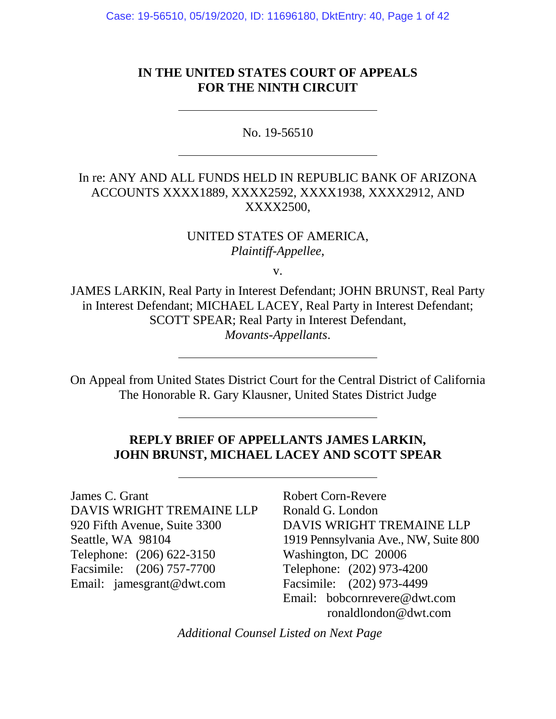Case: 19-56510, 05/19/2020, ID: 11696180, DktEntry: 40, Page 1 of 42

## **IN THE UNITED STATES COURT OF APPEALS FOR THE NINTH CIRCUIT**

No. 19-56510

# In re: ANY AND ALL FUNDS HELD IN REPUBLIC BANK OF ARIZONA ACCOUNTS XXXX1889, XXXX2592, XXXX1938, XXXX2912, AND XXXX2500,

UNITED STATES OF AMERICA, *Plaintiff-Appellee*,

v.

JAMES LARKIN, Real Party in Interest Defendant; JOHN BRUNST, Real Party in Interest Defendant; MICHAEL LACEY, Real Party in Interest Defendant; SCOTT SPEAR; Real Party in Interest Defendant, *Movants-Appellants*.

On Appeal from United States District Court for the Central District of California The Honorable R. Gary Klausner, United States District Judge

# **REPLY BRIEF OF APPELLANTS JAMES LARKIN, JOHN BRUNST, MICHAEL LACEY AND SCOTT SPEAR**

James C. Grant DAVIS WRIGHT TREMAINE LLP 920 Fifth Avenue, Suite 3300 Seattle, WA 98104 Telephone: (206) 622-3150 Facsimile: (206) 757-7700 Email: jamesgrant@dwt.com

Robert Corn-Revere Ronald G. London DAVIS WRIGHT TREMAINE LLP 1919 Pennsylvania Ave., NW, Suite 800 Washington, DC 20006 Telephone: (202) 973-4200 Facsimile: (202) 973-4499 Email: bobcornrevere@dwt.com ronaldlondon@dwt.com

*Additional Counsel Listed on Next Page*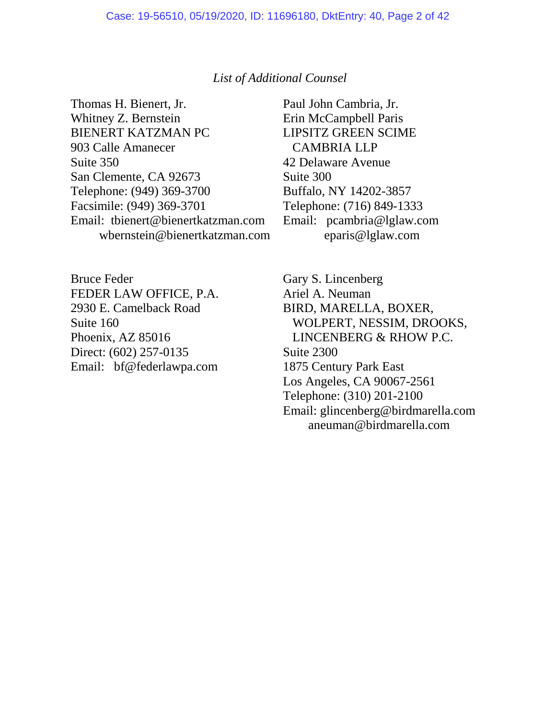#### *List of Additional Counsel*

Thomas H. Bienert, Jr. Whitney Z. Bernstein BIENERT KATZMAN PC 903 Calle Amanecer Suite 350 San Clemente, CA 92673 Telephone: (949) 369-3700 Facsimile: (949) 369-3701 Email: tbienert@bienertkatzman.com wbernstein@bienertkatzman.com

Bruce Feder FEDER LAW OFFICE, P.A. 2930 E. Camelback Road Suite 160 Phoenix, AZ 85016 Direct: (602) 257-0135 Email: bf@federlawpa.com Paul John Cambria, Jr. Erin McCampbell Paris LIPSITZ GREEN SCIME CAMBRIA LLP 42 Delaware Avenue Suite 300 Buffalo, NY 14202-3857 Telephone: (716) 849-1333 Email: pcambria@lglaw.com eparis@lglaw.com

Gary S. Lincenberg Ariel A. Neuman BIRD, MARELLA, BOXER, WOLPERT, NESSIM, DROOKS, LINCENBERG & RHOW P.C. Suite 2300 1875 Century Park East Los Angeles, CA 90067-2561 Telephone: (310) 201-2100 Email: glincenberg@birdmarella.com aneuman@birdmarella.com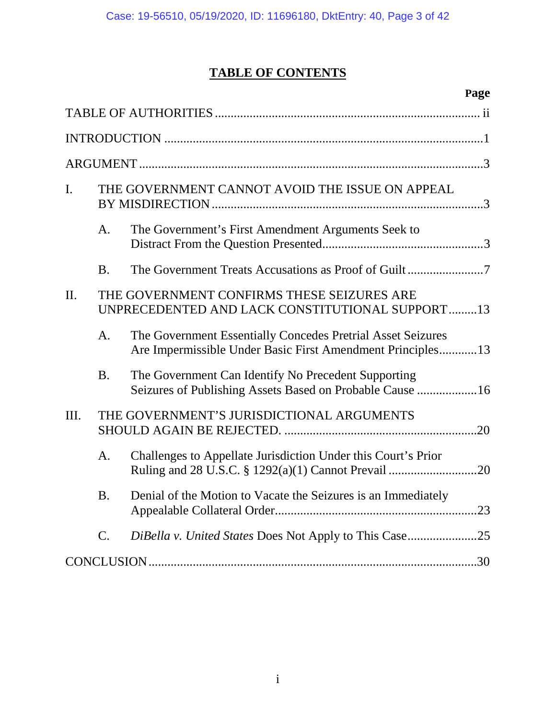# **TABLE OF CONTENTS**

|                |                                                                                               | Page                                                                                                                      |  |  |  |
|----------------|-----------------------------------------------------------------------------------------------|---------------------------------------------------------------------------------------------------------------------------|--|--|--|
|                |                                                                                               |                                                                                                                           |  |  |  |
|                |                                                                                               |                                                                                                                           |  |  |  |
|                |                                                                                               |                                                                                                                           |  |  |  |
| $\mathbf{I}$ . |                                                                                               | THE GOVERNMENT CANNOT AVOID THE ISSUE ON APPEAL                                                                           |  |  |  |
|                | A.                                                                                            | The Government's First Amendment Arguments Seek to                                                                        |  |  |  |
|                | <b>B.</b>                                                                                     |                                                                                                                           |  |  |  |
| II.            | THE GOVERNMENT CONFIRMS THESE SEIZURES ARE<br>UNPRECEDENTED AND LACK CONSTITUTIONAL SUPPORT13 |                                                                                                                           |  |  |  |
|                | A.                                                                                            | The Government Essentially Concedes Pretrial Asset Seizures<br>Are Impermissible Under Basic First Amendment Principles13 |  |  |  |
|                | <b>B.</b>                                                                                     | The Government Can Identify No Precedent Supporting<br>Seizures of Publishing Assets Based on Probable Cause 16           |  |  |  |
| Ш.             | THE GOVERNMENT'S JURISDICTIONAL ARGUMENTS                                                     |                                                                                                                           |  |  |  |
|                | A.                                                                                            | Challenges to Appellate Jurisdiction Under this Court's Prior                                                             |  |  |  |
|                | Β.                                                                                            | Denial of the Motion to Vacate the Seizures is an Immediately                                                             |  |  |  |
|                | C.                                                                                            | <i>DiBella v. United States Does Not Apply to This Case</i> 25                                                            |  |  |  |
|                |                                                                                               |                                                                                                                           |  |  |  |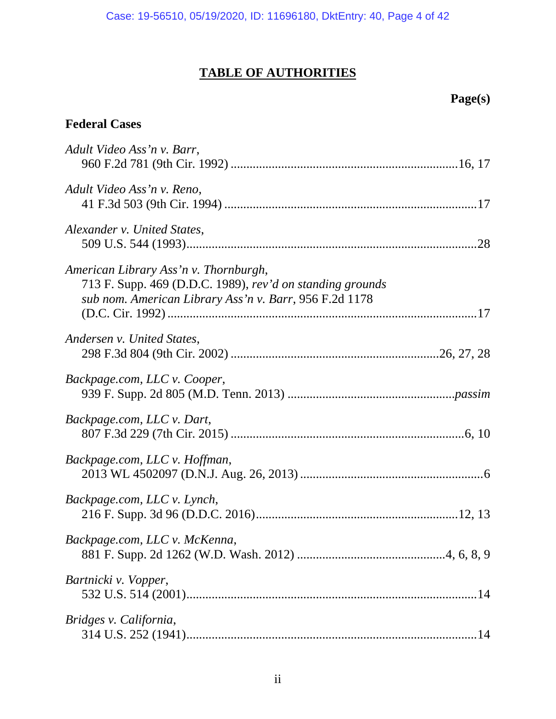# **TABLE OF AUTHORITIES**

# **Page(s)**

# **Federal Cases**

| Adult Video Ass'n v. Barr,                                                                                                                                   |
|--------------------------------------------------------------------------------------------------------------------------------------------------------------|
| Adult Video Ass'n v. Reno,                                                                                                                                   |
| Alexander v. United States,                                                                                                                                  |
| American Library Ass'n v. Thornburgh,<br>713 F. Supp. 469 (D.D.C. 1989), rev'd on standing grounds<br>sub nom. American Library Ass'n v. Barr, 956 F.2d 1178 |
| Andersen v. United States,                                                                                                                                   |
| Backpage.com, LLC v. Cooper,                                                                                                                                 |
| Backpage.com, LLC v. Dart,                                                                                                                                   |
| Backpage.com, LLC v. Hoffman,                                                                                                                                |
| Backpage.com, LLC v. Lynch,                                                                                                                                  |
| Backpage.com, LLC v. McKenna,                                                                                                                                |
| Bartnicki v. Vopper,                                                                                                                                         |
| Bridges v. California,                                                                                                                                       |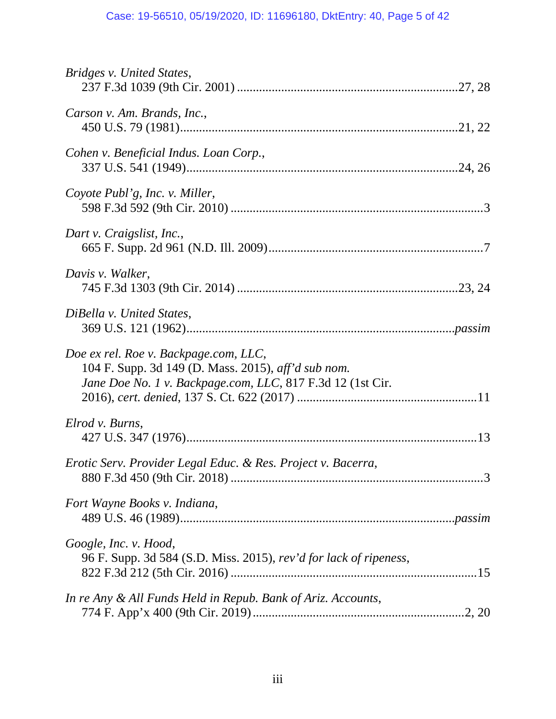| Bridges v. United States,                                                                                                                                  |
|------------------------------------------------------------------------------------------------------------------------------------------------------------|
| Carson v. Am. Brands, Inc.,                                                                                                                                |
| Cohen v. Beneficial Indus. Loan Corp.,                                                                                                                     |
| Coyote Publ'g, Inc. v. Miller,                                                                                                                             |
| Dart v. Craigslist, Inc.,                                                                                                                                  |
| Davis v. Walker,                                                                                                                                           |
| DiBella v. United States,                                                                                                                                  |
| Doe ex rel. Roe v. Backpage.com, LLC,<br>104 F. Supp. 3d 149 (D. Mass. 2015), aff'd sub nom.<br>Jane Doe No. 1 v. Backpage.com, LLC, 817 F.3d 12 (1st Cir. |
| Elrod v. Burns,                                                                                                                                            |
| Erotic Serv. Provider Legal Educ. & Res. Project v. Bacerra,                                                                                               |
| Fort Wayne Books v. Indiana,                                                                                                                               |
| Google, Inc. v. Hood,<br>96 F. Supp. 3d 584 (S.D. Miss. 2015), rev'd for lack of ripeness,                                                                 |
| In re Any & All Funds Held in Repub. Bank of Ariz. Accounts,                                                                                               |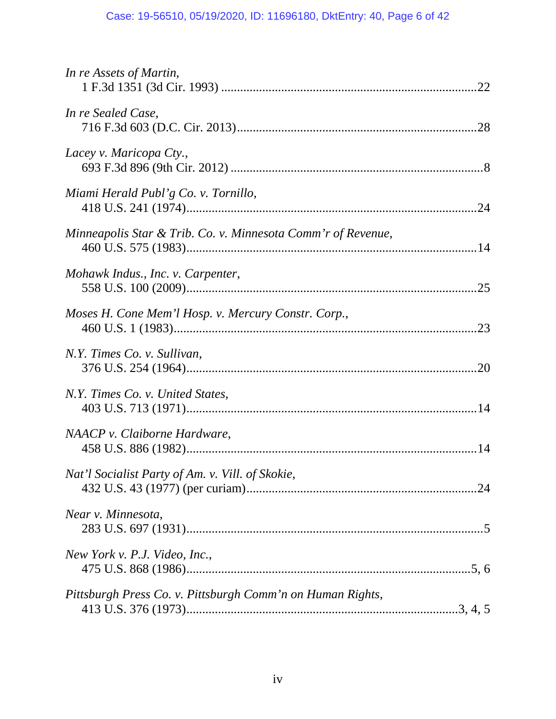| In re Assets of Martin,                                      |
|--------------------------------------------------------------|
| In re Sealed Case,                                           |
| Lacey v. Maricopa Cty.,                                      |
| Miami Herald Publ'g Co. v. Tornillo,                         |
| Minneapolis Star & Trib. Co. v. Minnesota Comm'r of Revenue, |
| Mohawk Indus., Inc. v. Carpenter,                            |
| Moses H. Cone Mem'l Hosp. v. Mercury Constr. Corp.,          |
| N.Y. Times Co. v. Sullivan,                                  |
| N.Y. Times Co. v. United States,                             |
| NAACP v. Claiborne Hardware,                                 |
| Nat'l Socialist Party of Am. v. Vill. of Skokie,             |
| Near v. Minnesota,                                           |
| New York v. P.J. Video, Inc.,                                |
| Pittsburgh Press Co. v. Pittsburgh Comm'n on Human Rights,   |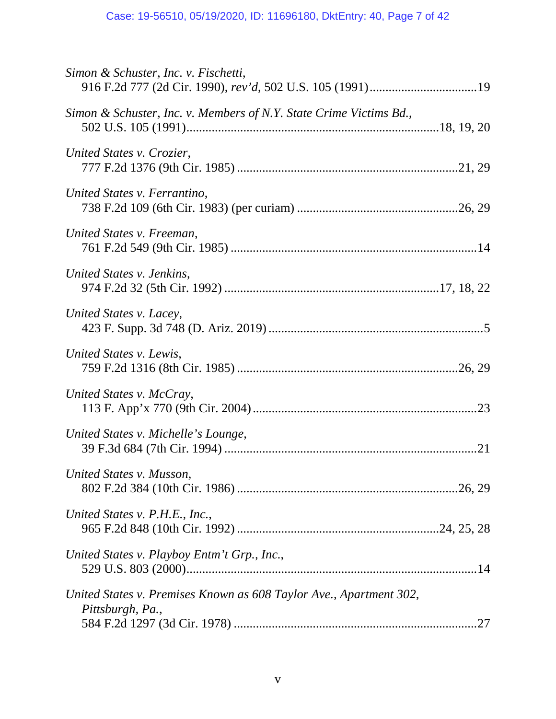| Simon & Schuster, Inc. v. Fischetti,                                                   |  |
|----------------------------------------------------------------------------------------|--|
| Simon & Schuster, Inc. v. Members of N.Y. State Crime Victims Bd.,                     |  |
| United States v. Crozier,                                                              |  |
| United States v. Ferrantino,                                                           |  |
| United States v. Freeman,                                                              |  |
| United States v. Jenkins,                                                              |  |
| United States v. Lacey,                                                                |  |
| United States v. Lewis,                                                                |  |
| United States v. McCray,                                                               |  |
| United States v. Michelle's Lounge,                                                    |  |
| United States v. Musson,                                                               |  |
| United States v. P.H.E., Inc.,                                                         |  |
| United States v. Playboy Entm't Grp., Inc.,                                            |  |
| United States v. Premises Known as 608 Taylor Ave., Apartment 302,<br>Pittsburgh, Pa., |  |
|                                                                                        |  |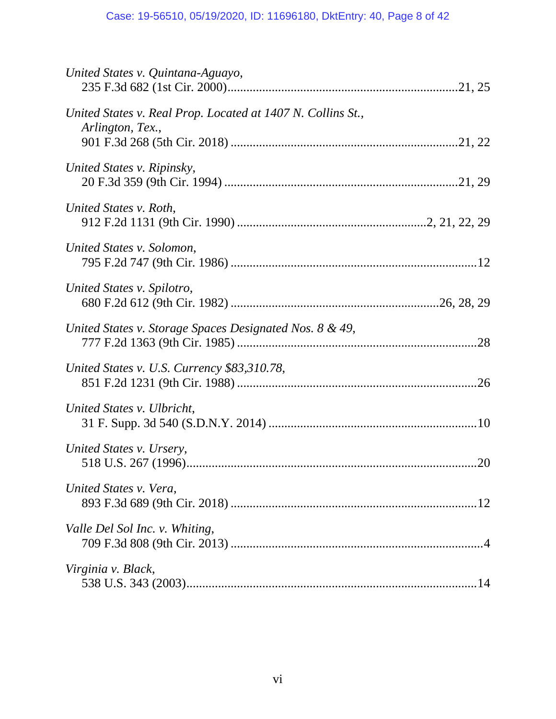| United States v. Quintana-Aguayo,                                               |
|---------------------------------------------------------------------------------|
| United States v. Real Prop. Located at 1407 N. Collins St.,<br>Arlington, Tex., |
| United States v. Ripinsky,                                                      |
| United States v. Roth,                                                          |
| United States v. Solomon,                                                       |
| United States v. Spilotro,                                                      |
| United States v. Storage Spaces Designated Nos. 8 & 49,                         |
| United States v. U.S. Currency \$83,310.78,                                     |
| United States v. Ulbricht,                                                      |
| United States v. Ursery,                                                        |
| United States v. Vera,                                                          |
| Valle Del Sol Inc. v. Whiting,                                                  |
| Virginia v. Black,                                                              |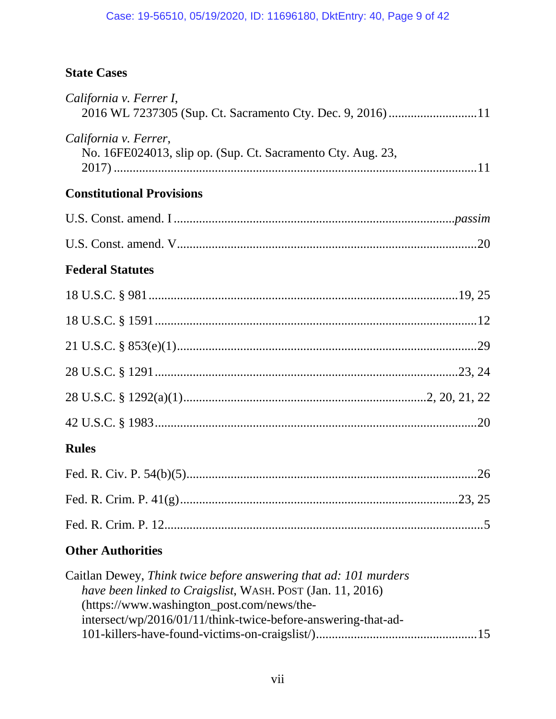# **State Cases**

| California v. Ferrer I,<br>2016 WL 7237305 (Sup. Ct. Sacramento Cty. Dec. 9, 2016) 11                                                                                        |
|------------------------------------------------------------------------------------------------------------------------------------------------------------------------------|
| California v. Ferrer,<br>No. 16FE024013, slip op. (Sup. Ct. Sacramento Cty. Aug. 23,                                                                                         |
| <b>Constitutional Provisions</b>                                                                                                                                             |
|                                                                                                                                                                              |
|                                                                                                                                                                              |
| <b>Federal Statutes</b>                                                                                                                                                      |
|                                                                                                                                                                              |
|                                                                                                                                                                              |
|                                                                                                                                                                              |
|                                                                                                                                                                              |
|                                                                                                                                                                              |
|                                                                                                                                                                              |
| <b>Rules</b>                                                                                                                                                                 |
|                                                                                                                                                                              |
|                                                                                                                                                                              |
|                                                                                                                                                                              |
| <b>Other Authorities</b>                                                                                                                                                     |
| Caitlan Dewey, Think twice before answering that ad: 101 murders<br>have been linked to Craigslist, WASH. POST (Jan. 11, 2016)<br>(https://www.washington_post.com/news/the- |

| $\mu$ ( $\mu$ ups.//www.washington_post.com/news/the-         |
|---------------------------------------------------------------|
| intersect/wp/2016/01/11/think-twice-before-answering-that-ad- |
|                                                               |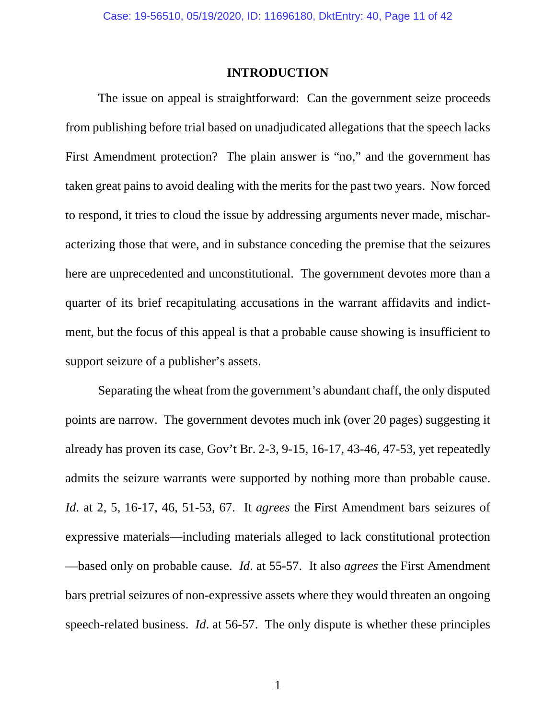#### **INTRODUCTION**

The issue on appeal is straightforward: Can the government seize proceeds from publishing before trial based on unadjudicated allegations that the speech lacks First Amendment protection? The plain answer is "no," and the government has taken great pains to avoid dealing with the merits for the past two years. Now forced to respond, it tries to cloud the issue by addressing arguments never made, mischaracterizing those that were, and in substance conceding the premise that the seizures here are unprecedented and unconstitutional. The government devotes more than a quarter of its brief recapitulating accusations in the warrant affidavits and indictment, but the focus of this appeal is that a probable cause showing is insufficient to support seizure of a publisher's assets.

Separating the wheat from the government's abundant chaff, the only disputed points are narrow. The government devotes much ink (over 20 pages) suggesting it already has proven its case, Gov't Br. 2-3, 9-15, 16-17, 43-46, 47-53, yet repeatedly admits the seizure warrants were supported by nothing more than probable cause. *Id*. at 2, 5, 16-17, 46, 51-53, 67. It *agrees* the First Amendment bars seizures of expressive materials—including materials alleged to lack constitutional protection —based only on probable cause. *Id*. at 55-57. It also *agrees* the First Amendment bars pretrial seizures of non-expressive assets where they would threaten an ongoing speech-related business. *Id*. at 56-57. The only dispute is whether these principles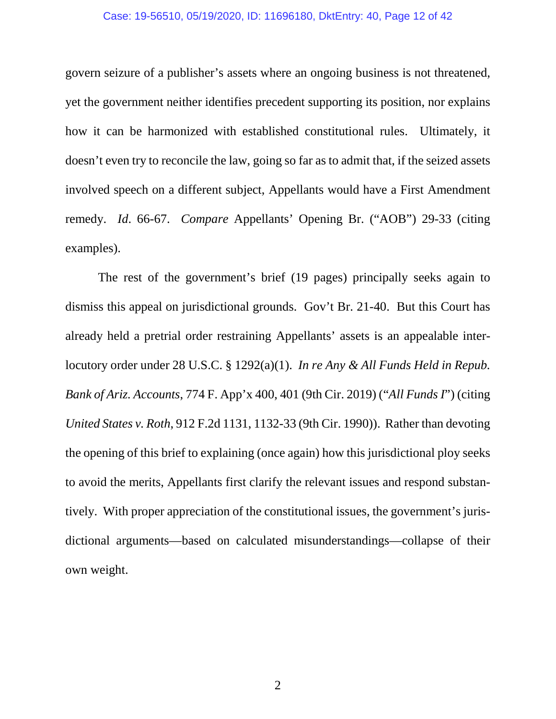#### Case: 19-56510, 05/19/2020, ID: 11696180, DktEntry: 40, Page 12 of 42

govern seizure of a publisher's assets where an ongoing business is not threatened, yet the government neither identifies precedent supporting its position, nor explains how it can be harmonized with established constitutional rules. Ultimately, it doesn't even try to reconcile the law, going so far as to admit that, if the seized assets involved speech on a different subject, Appellants would have a First Amendment remedy. *Id*. 66-67. *Compare* Appellants' Opening Br. ("AOB") 29-33 (citing examples).

The rest of the government's brief (19 pages) principally seeks again to dismiss this appeal on jurisdictional grounds. Gov't Br. 21-40. But this Court has already held a pretrial order restraining Appellants' assets is an appealable interlocutory order under 28 U.S.C. § 1292(a)(1). *In re Any & All Funds Held in Repub. Bank of Ariz. Accounts*, 774 F. App'x 400, 401 (9th Cir. 2019) ("*All Funds I*") (citing *United States v. Roth*, 912 F.2d 1131, 1132-33 (9th Cir. 1990)). Rather than devoting the opening of this brief to explaining (once again) how this jurisdictional ploy seeks to avoid the merits, Appellants first clarify the relevant issues and respond substantively. With proper appreciation of the constitutional issues, the government's jurisdictional arguments—based on calculated misunderstandings—collapse of their own weight.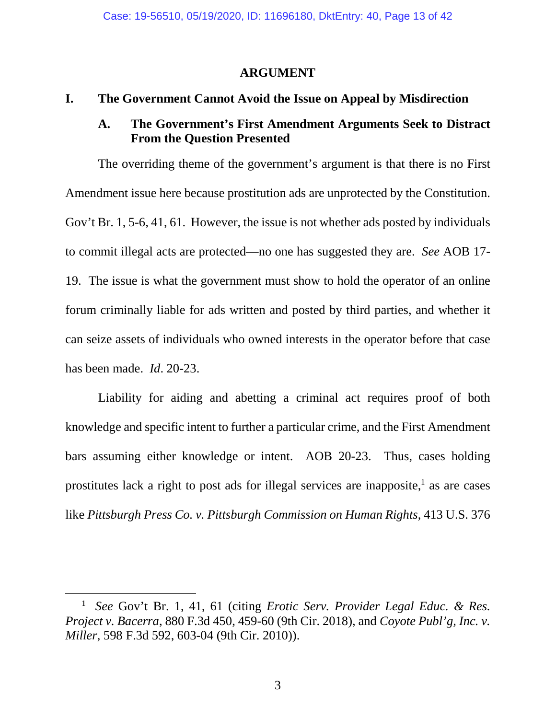### **ARGUMENT**

## **I. The Government Cannot Avoid the Issue on Appeal by Misdirection**

## **A. The Government's First Amendment Arguments Seek to Distract From the Question Presented**

The overriding theme of the government's argument is that there is no First Amendment issue here because prostitution ads are unprotected by the Constitution. Gov't Br. 1, 5-6, 41, 61. However, the issue is not whether ads posted by individuals to commit illegal acts are protected—no one has suggested they are. *See* AOB 17- 19. The issue is what the government must show to hold the operator of an online forum criminally liable for ads written and posted by third parties, and whether it can seize assets of individuals who owned interests in the operator before that case has been made. *Id*. 20-23.

Liability for aiding and abetting a criminal act requires proof of both knowledge and specific intent to further a particular crime, and the First Amendment bars assuming either knowledge or intent. AOB 20-23. Thus, cases holding prostitutes lack a right to post ads for illegal services are inapposite,<sup>1</sup> as are cases like *Pittsburgh Press Co. v. Pittsburgh Commission on Human Rights*, 413 U.S. 376

<sup>1</sup> *See* Gov't Br. 1, 41, 61 (citing *Erotic Serv. Provider Legal Educ. & Res. Project v. Bacerra*, 880 F.3d 450, 459-60 (9th Cir. 2018), and *Coyote Publ'g, Inc. v. Miller*, 598 F.3d 592, 603-04 (9th Cir. 2010)).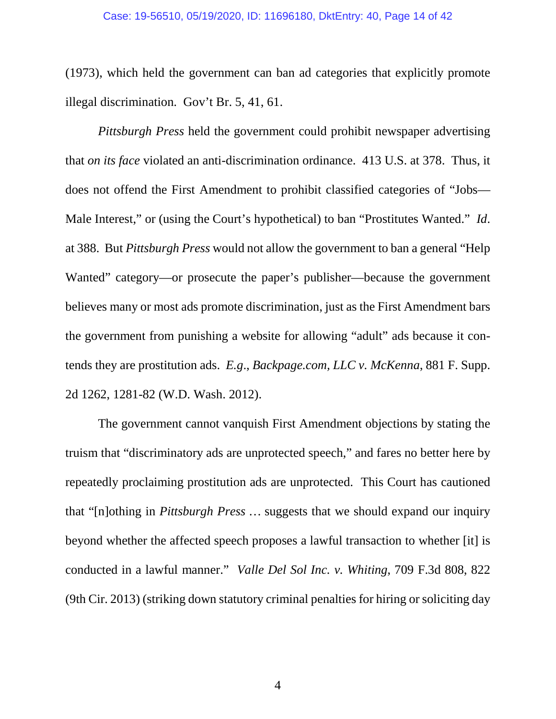(1973), which held the government can ban ad categories that explicitly promote illegal discrimination. Gov't Br. 5, 41, 61.

*Pittsburgh Press* held the government could prohibit newspaper advertising that *on its face* violated an anti-discrimination ordinance. 413 U.S. at 378. Thus, it does not offend the First Amendment to prohibit classified categories of "Jobs— Male Interest," or (using the Court's hypothetical) to ban "Prostitutes Wanted." *Id*. at 388. But *Pittsburgh Press* would not allow the government to ban a general "Help Wanted" category—or prosecute the paper's publisher—because the government believes many or most ads promote discrimination, just as the First Amendment bars the government from punishing a website for allowing "adult" ads because it contends they are prostitution ads. *E.g*., *Backpage.com, LLC v. McKenna*, 881 F. Supp. 2d 1262, 1281-82 (W.D. Wash. 2012).

The government cannot vanquish First Amendment objections by stating the truism that "discriminatory ads are unprotected speech," and fares no better here by repeatedly proclaiming prostitution ads are unprotected. This Court has cautioned that "[n]othing in *Pittsburgh Press* … suggests that we should expand our inquiry beyond whether the affected speech proposes a lawful transaction to whether [it] is conducted in a lawful manner." *Valle Del Sol Inc. v. Whiting*, 709 F.3d 808, 822 (9th Cir. 2013) (striking down statutory criminal penalties for hiring or soliciting day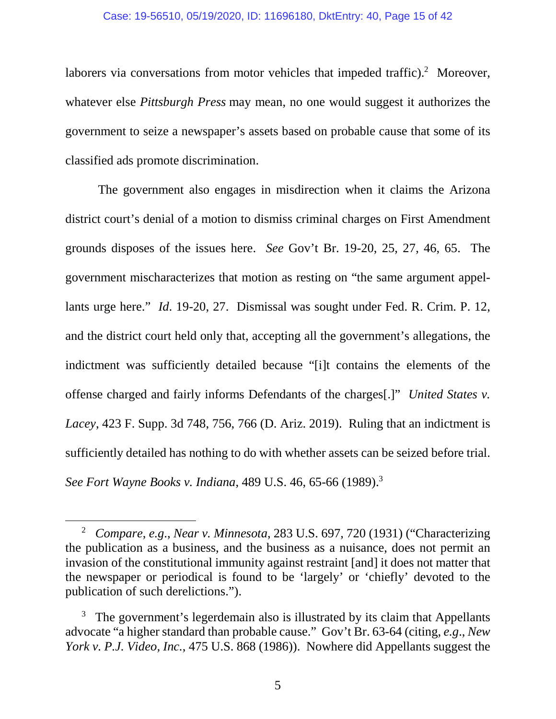#### Case: 19-56510, 05/19/2020, ID: 11696180, DktEntry: 40, Page 15 of 42

laborers via conversations from motor vehicles that impeded traffic). $2$  Moreover, whatever else *Pittsburgh Press* may mean, no one would suggest it authorizes the government to seize a newspaper's assets based on probable cause that some of its classified ads promote discrimination.

The government also engages in misdirection when it claims the Arizona district court's denial of a motion to dismiss criminal charges on First Amendment grounds disposes of the issues here. *See* Gov't Br. 19-20, 25, 27, 46, 65. The government mischaracterizes that motion as resting on "the same argument appellants urge here." *Id*. 19-20, 27. Dismissal was sought under Fed. R. Crim. P. 12, and the district court held only that, accepting all the government's allegations, the indictment was sufficiently detailed because "[i]t contains the elements of the offense charged and fairly informs Defendants of the charges[.]" *United States v. Lacey*, 423 F. Supp. 3d 748, 756, 766 (D. Ariz. 2019). Ruling that an indictment is sufficiently detailed has nothing to do with whether assets can be seized before trial. *See Fort Wayne Books v. Indiana*, 489 U.S. 46, 65-66 (1989).<sup>3</sup>

<sup>2</sup> *Compare*, *e.g*., *Near v. Minnesota*, 283 U.S. 697, 720 (1931) ("Characterizing the publication as a business, and the business as a nuisance, does not permit an invasion of the constitutional immunity against restraint [and] it does not matter that the newspaper or periodical is found to be 'largely' or 'chiefly' devoted to the publication of such derelictions.").

 $3$  The government's legerdemain also is illustrated by its claim that Appellants advocate "a higher standard than probable cause." Gov't Br. 63-64 (citing, *e.g*., *New York v. P.J. Video, Inc.*, 475 U.S. 868 (1986)). Nowhere did Appellants suggest the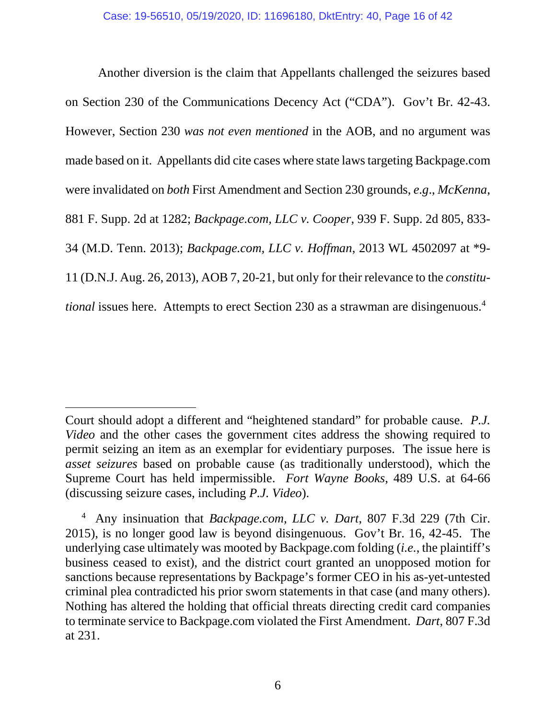Another diversion is the claim that Appellants challenged the seizures based on Section 230 of the Communications Decency Act ("CDA"). Gov't Br. 42-43. However, Section 230 *was not even mentioned* in the AOB, and no argument was made based on it. Appellants did cite cases where state laws targeting Backpage.com were invalidated on *both* First Amendment and Section 230 grounds, *e.g*., *McKenna*, 881 F. Supp. 2d at 1282; *Backpage.com, LLC v. Cooper*, 939 F. Supp. 2d 805, 833- 34 (M.D. Tenn. 2013); *Backpage.com, LLC v. Hoffman*, 2013 WL 4502097 at \*9- 11 (D.N.J. Aug. 26, 2013), AOB 7, 20-21, but only for their relevance to the *constitutional* issues here. Attempts to erect Section 230 as a strawman are disingenuous.<sup>4</sup>

Court should adopt a different and "heightened standard" for probable cause. *P.J. Video* and the other cases the government cites address the showing required to permit seizing an item as an exemplar for evidentiary purposes. The issue here is *asset seizures* based on probable cause (as traditionally understood), which the Supreme Court has held impermissible. *Fort Wayne Books*, 489 U.S. at 64-66 (discussing seizure cases, including *P.J. Video*).

<sup>4</sup> Any insinuation that *Backpage.com, LLC v. Dart*, 807 F.3d 229 (7th Cir. 2015), is no longer good law is beyond disingenuous. Gov't Br. 16, 42-45. The underlying case ultimately was mooted by Backpage.com folding (*i.e.*, the plaintiff's business ceased to exist), and the district court granted an unopposed motion for sanctions because representations by Backpage's former CEO in his as-yet-untested criminal plea contradicted his prior sworn statements in that case (and many others). Nothing has altered the holding that official threats directing credit card companies to terminate service to Backpage.com violated the First Amendment. *Dart*, 807 F.3d at 231.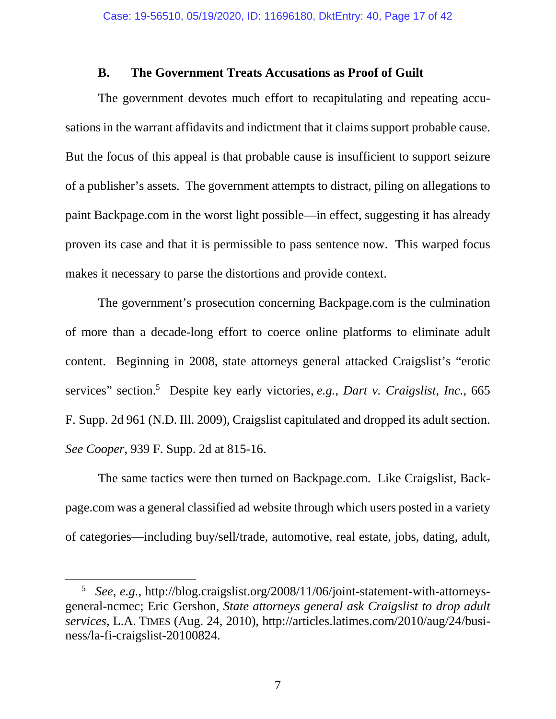### **B. The Government Treats Accusations as Proof of Guilt**

The government devotes much effort to recapitulating and repeating accusations in the warrant affidavits and indictment that it claims support probable cause. But the focus of this appeal is that probable cause is insufficient to support seizure of a publisher's assets. The government attempts to distract, piling on allegations to paint Backpage.com in the worst light possible—in effect, suggesting it has already proven its case and that it is permissible to pass sentence now. This warped focus makes it necessary to parse the distortions and provide context.

The government's prosecution concerning Backpage.com is the culmination of more than a decade-long effort to coerce online platforms to eliminate adult content. Beginning in 2008, state attorneys general attacked Craigslist's "erotic services" section.<sup>5</sup> Despite key early victories, *e.g.*, *Dart v. Craigslist, Inc.*, 665 F. Supp. 2d 961 (N.D. Ill. 2009), Craigslist capitulated and dropped its adult section. *See Cooper*, 939 F. Supp. 2d at 815-16.

The same tactics were then turned on Backpage.com. Like Craigslist, Backpage.com was a general classified ad website through which users posted in a variety of categories—including buy/sell/trade, automotive, real estate, jobs, dating, adult,

<sup>5</sup> *See*, *e.g.*, http://blog.craigslist.org/2008/11/06/joint-statement-with-attorneysgeneral-ncmec; Eric Gershon, *State attorneys general ask Craigslist to drop adult services*, L.A. TIMES (Aug. 24, 2010), http://articles.latimes.com/2010/aug/24/business/la-fi-craigslist-20100824.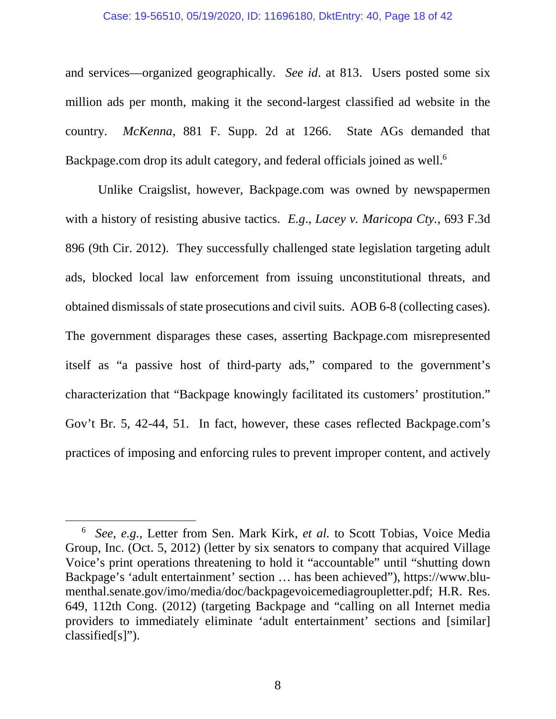#### Case: 19-56510, 05/19/2020, ID: 11696180, DktEntry: 40, Page 18 of 42

and services—organized geographically. *See id*. at 813. Users posted some six million ads per month, making it the second-largest classified ad website in the country. *McKenna*, 881 F. Supp. 2d at 1266. State AGs demanded that Backpage.com drop its adult category, and federal officials joined as well.<sup>6</sup>

Unlike Craigslist, however, Backpage.com was owned by newspapermen with a history of resisting abusive tactics. *E.g*., *Lacey v. Maricopa Cty.*, 693 F.3d 896 (9th Cir. 2012). They successfully challenged state legislation targeting adult ads, blocked local law enforcement from issuing unconstitutional threats, and obtained dismissals of state prosecutions and civil suits. AOB 6-8 (collecting cases). The government disparages these cases, asserting Backpage.com misrepresented itself as "a passive host of third-party ads," compared to the government's characterization that "Backpage knowingly facilitated its customers' prostitution." Gov't Br. 5, 42-44, 51. In fact, however, these cases reflected Backpage.com's practices of imposing and enforcing rules to prevent improper content, and actively

<sup>6</sup> *See*, *e.g.*, Letter from Sen. Mark Kirk, *et al.* to Scott Tobias, Voice Media Group, Inc. (Oct. 5, 2012) (letter by six senators to company that acquired Village Voice's print operations threatening to hold it "accountable" until "shutting down Backpage's 'adult entertainment' section … has been achieved"), https://www.blumenthal.senate.gov/imo/media/doc/backpagevoicemediagroupletter.pdf; H.R. Res. 649, 112th Cong. (2012) (targeting Backpage and "calling on all Internet media providers to immediately eliminate 'adult entertainment' sections and [similar] classified[s]").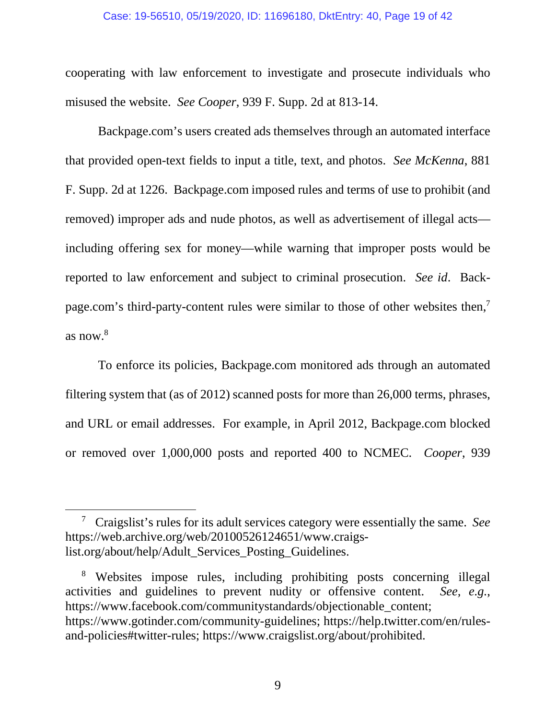#### Case: 19-56510, 05/19/2020, ID: 11696180, DktEntry: 40, Page 19 of 42

cooperating with law enforcement to investigate and prosecute individuals who misused the website. *See Cooper*, 939 F. Supp. 2d at 813-14.

Backpage.com's users created ads themselves through an automated interface that provided open-text fields to input a title, text, and photos. *See McKenna*, 881 F. Supp. 2d at 1226. Backpage.com imposed rules and terms of use to prohibit (and removed) improper ads and nude photos, as well as advertisement of illegal acts including offering sex for money—while warning that improper posts would be reported to law enforcement and subject to criminal prosecution. *See id*. Backpage.com's third-party-content rules were similar to those of other websites then,<sup>7</sup> as now. $8$ 

To enforce its policies, Backpage.com monitored ads through an automated filtering system that (as of 2012) scanned posts for more than 26,000 terms, phrases, and URL or email addresses. For example, in April 2012, Backpage.com blocked or removed over 1,000,000 posts and reported 400 to NCMEC. *Cooper*, 939

9

<sup>7</sup> Craigslist's rules for its adult services category were essentially the same. *See*  https://web.archive.org/web/20100526124651/www.craigslist.org/about/help/Adult\_Services\_Posting\_Guidelines.

<sup>8</sup> Websites impose rules, including prohibiting posts concerning illegal activities and guidelines to prevent nudity or offensive content. *See, e.g.*, https://www.facebook.com/communitystandards/objectionable\_content; https://www.gotinder.com/community-guidelines; https://help.twitter.com/en/rulesand-policies#twitter-rules; https://www.craigslist.org/about/prohibited.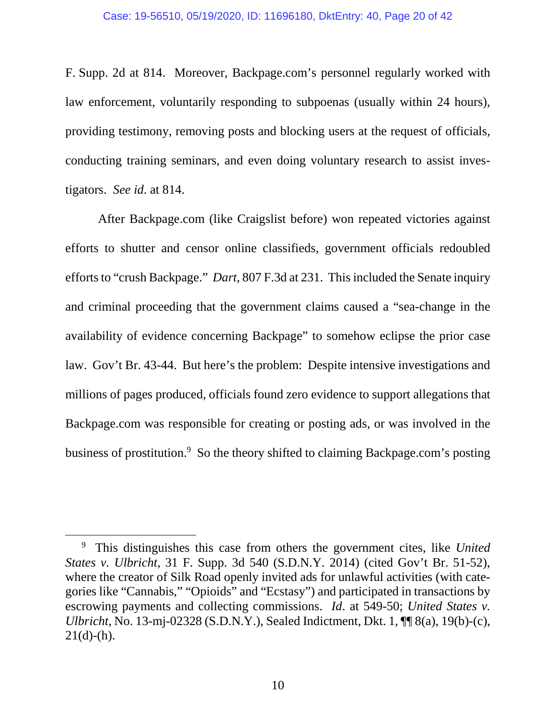F. Supp. 2d at 814. Moreover, Backpage.com's personnel regularly worked with law enforcement, voluntarily responding to subpoenas (usually within 24 hours), providing testimony, removing posts and blocking users at the request of officials, conducting training seminars, and even doing voluntary research to assist investigators. *See id*. at 814.

After Backpage.com (like Craigslist before) won repeated victories against efforts to shutter and censor online classifieds, government officials redoubled efforts to "crush Backpage." *Dart*, 807 F.3d at 231. This included the Senate inquiry and criminal proceeding that the government claims caused a "sea-change in the availability of evidence concerning Backpage" to somehow eclipse the prior case law. Gov't Br. 43-44. But here's the problem: Despite intensive investigations and millions of pages produced, officials found zero evidence to support allegations that Backpage.com was responsible for creating or posting ads, or was involved in the business of prostitution.<sup>9</sup> So the theory shifted to claiming Backpage.com's posting

<sup>9</sup> This distinguishes this case from others the government cites, like *United States v. Ulbricht*, 31 F. Supp. 3d 540 (S.D.N.Y. 2014) (cited Gov't Br. 51-52), where the creator of Silk Road openly invited ads for unlawful activities (with categories like "Cannabis," "Opioids" and "Ecstasy") and participated in transactions by escrowing payments and collecting commissions. *Id*. at 549-50; *United States v. Ulbricht*, No. 13-mj-02328 (S.D.N.Y.), Sealed Indictment, Dkt. 1, ¶¶ 8(a), 19(b)-(c),  $21(d)-(h)$ .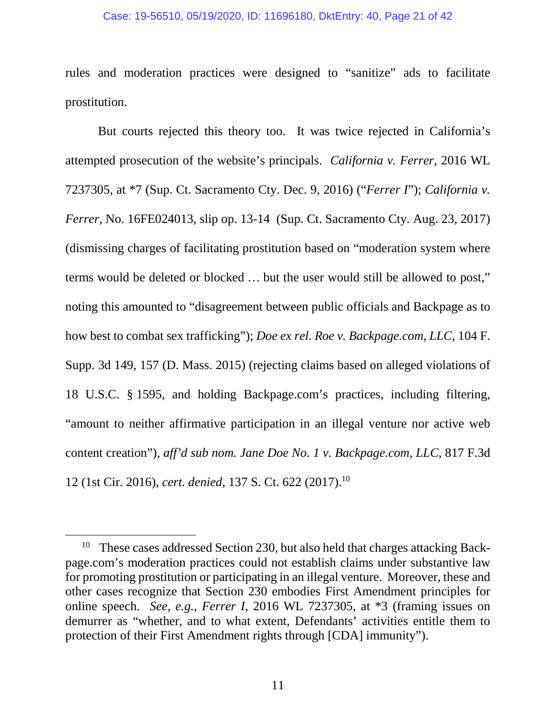## Case: 19-56510, 05/19/2020, ID: 11696180, DktEntry: 40, Page 21 of 42

rules and moderation practices were designed to "sanitize" ads to facilitate prostitution.

But courts rejected this theory too. It was twice rejected in California's attempted prosecution of the website's principals. *California v. Ferrer*, 2016 WL 7237305, at \*7 (Sup. Ct. Sacramento Cty. Dec. 9, 2016) ("*Ferrer I*"); *California v. Ferrer*, No. 16FE024013, slip op. 13-14 (Sup. Ct. Sacramento Cty. Aug. 23, 2017) (dismissing charges of facilitating prostitution based on "moderation system where terms would be deleted or blocked … but the user would still be allowed to post," noting this amounted to "disagreement between public officials and Backpage as to how best to combat sex trafficking"); *Doe ex rel. Roe v. Backpage.com, LLC*, 104 F. Supp. 3d 149, 157 (D. Mass. 2015) (rejecting claims based on alleged violations of 18 U.S.C. § 1595, and holding Backpage.com's practices, including filtering, "amount to neither affirmative participation in an illegal venture nor active web content creation"), *aff'd sub nom. Jane Doe No. 1 v. Backpage.com, LLC*, 817 F.3d 12 (1st Cir. 2016), *cert. denied*, 137 S. Ct. 622 (2017).<sup>10</sup>

<sup>&</sup>lt;sup>10</sup> These cases addressed Section 230, but also held that charges attacking Backpage.com's moderation practices could not establish claims under substantive law for promoting prostitution or participating in an illegal venture. Moreover, these and other cases recognize that Section 230 embodies First Amendment principles for online speech. *See, e.g.*, *Ferrer I*, 2016 WL 7237305, at \*3 (framing issues on demurrer as "whether, and to what extent, Defendants' activities entitle them to protection of their First Amendment rights through [CDA] immunity").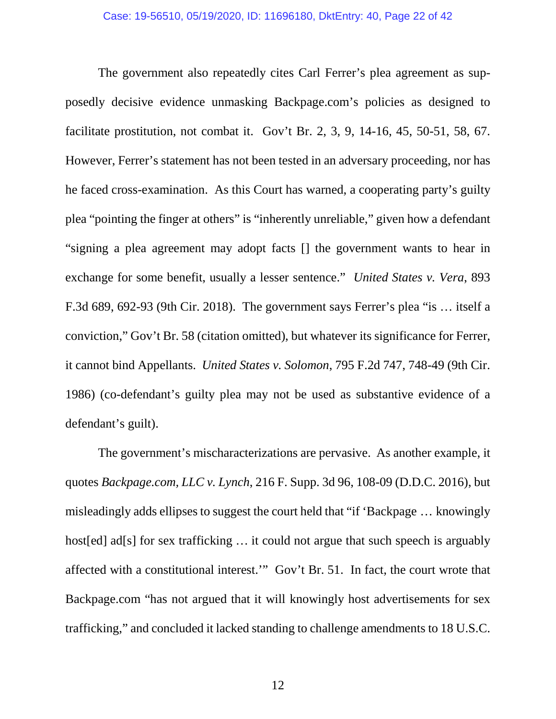The government also repeatedly cites Carl Ferrer's plea agreement as supposedly decisive evidence unmasking Backpage.com's policies as designed to facilitate prostitution, not combat it. Gov't Br. 2, 3, 9, 14-16, 45, 50-51, 58, 67. However, Ferrer's statement has not been tested in an adversary proceeding, nor has he faced cross-examination. As this Court has warned, a cooperating party's guilty plea "pointing the finger at others" is "inherently unreliable," given how a defendant "signing a plea agreement may adopt facts [] the government wants to hear in exchange for some benefit, usually a lesser sentence." *United States v. Vera*, 893 F.3d 689, 692-93 (9th Cir. 2018). The government says Ferrer's plea "is … itself a conviction," Gov't Br. 58 (citation omitted), but whatever its significance for Ferrer, it cannot bind Appellants. *United States v. Solomon*, 795 F.2d 747, 748-49 (9th Cir. 1986) (co-defendant's guilty plea may not be used as substantive evidence of a defendant's guilt).

The government's mischaracterizations are pervasive. As another example, it quotes *Backpage.com, LLC v. Lynch*, 216 F. Supp. 3d 96, 108-09 (D.D.C. 2016), but misleadingly adds ellipses to suggest the court held that "if 'Backpage … knowingly host[ed] ad[s] for sex trafficking ... it could not argue that such speech is arguably affected with a constitutional interest.'" Gov't Br. 51. In fact, the court wrote that Backpage.com "has not argued that it will knowingly host advertisements for sex trafficking," and concluded it lacked standing to challenge amendments to 18 U.S.C.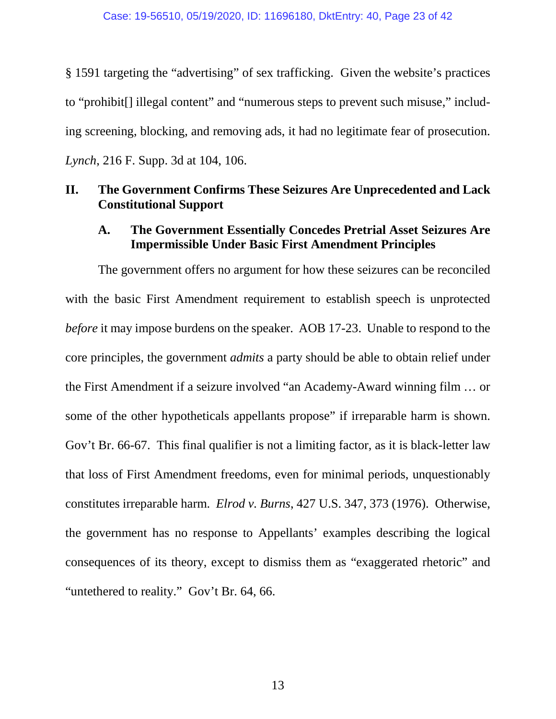§ 1591 targeting the "advertising" of sex trafficking. Given the website's practices to "prohibit[] illegal content" and "numerous steps to prevent such misuse," including screening, blocking, and removing ads, it had no legitimate fear of prosecution. *Lynch*, 216 F. Supp. 3d at 104, 106.

## **II. The Government Confirms These Seizures Are Unprecedented and Lack Constitutional Support**

## **A. The Government Essentially Concedes Pretrial Asset Seizures Are Impermissible Under Basic First Amendment Principles**

The government offers no argument for how these seizures can be reconciled with the basic First Amendment requirement to establish speech is unprotected *before* it may impose burdens on the speaker. AOB 17-23. Unable to respond to the core principles, the government *admits* a party should be able to obtain relief under the First Amendment if a seizure involved "an Academy-Award winning film … or some of the other hypotheticals appellants propose" if irreparable harm is shown. Gov't Br. 66-67. This final qualifier is not a limiting factor, as it is black-letter law that loss of First Amendment freedoms, even for minimal periods, unquestionably constitutes irreparable harm. *Elrod v. Burns*, 427 U.S. 347, 373 (1976). Otherwise, the government has no response to Appellants' examples describing the logical consequences of its theory, except to dismiss them as "exaggerated rhetoric" and "untethered to reality." Gov't Br. 64, 66.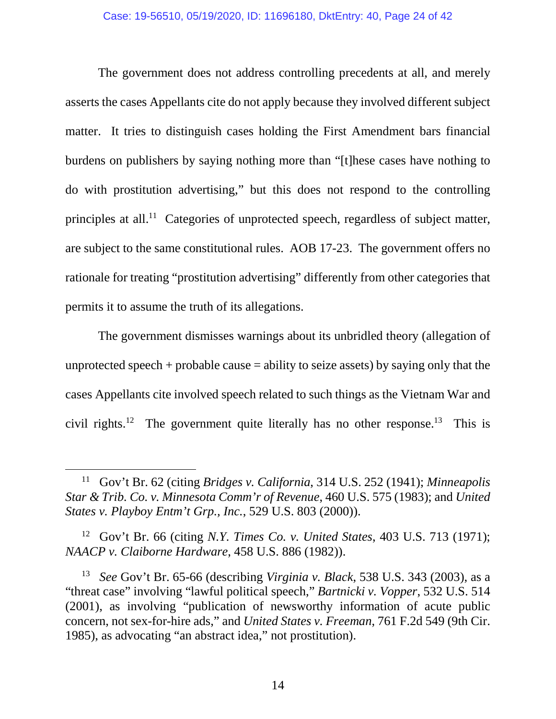#### Case: 19-56510, 05/19/2020, ID: 11696180, DktEntry: 40, Page 24 of 42

The government does not address controlling precedents at all, and merely asserts the cases Appellants cite do not apply because they involved different subject matter. It tries to distinguish cases holding the First Amendment bars financial burdens on publishers by saying nothing more than "[t]hese cases have nothing to do with prostitution advertising," but this does not respond to the controlling principles at all.<sup>11</sup> Categories of unprotected speech, regardless of subject matter, are subject to the same constitutional rules. AOB 17-23. The government offers no rationale for treating "prostitution advertising" differently from other categories that permits it to assume the truth of its allegations.

The government dismisses warnings about its unbridled theory (allegation of unprotected speech + probable cause  $=$  ability to seize assets) by saying only that the cases Appellants cite involved speech related to such things as the Vietnam War and civil rights.<sup>12</sup> The government quite literally has no other response.<sup>13</sup> This is

<sup>12</sup> Gov't Br. 66 (citing *N.Y. Times Co. v. United States*, 403 U.S. 713 (1971); *NAACP v. Claiborne Hardware*, 458 U.S. 886 (1982)).

<sup>11</sup> Gov't Br. 62 (citing *Bridges v. California*, 314 U.S. 252 (1941); *Minneapolis Star & Trib. Co. v. Minnesota Comm'r of Revenue*, 460 U.S. 575 (1983); and *United States v. Playboy Entm't Grp., Inc.*, 529 U.S. 803 (2000)).

<sup>13</sup> *See* Gov't Br. 65-66 (describing *Virginia v. Black*, 538 U.S. 343 (2003), as a "threat case" involving "lawful political speech," *Bartnicki v. Vopper*, 532 U.S. 514 (2001), as involving "publication of newsworthy information of acute public concern, not sex-for-hire ads," and *United States v. Freeman*, 761 F.2d 549 (9th Cir. 1985), as advocating "an abstract idea," not prostitution).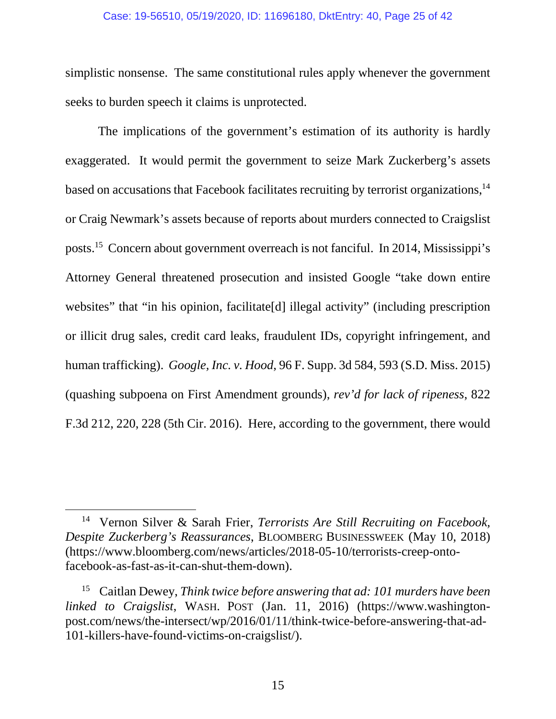#### Case: 19-56510, 05/19/2020, ID: 11696180, DktEntry: 40, Page 25 of 42

simplistic nonsense. The same constitutional rules apply whenever the government seeks to burden speech it claims is unprotected.

The implications of the government's estimation of its authority is hardly exaggerated. It would permit the government to seize Mark Zuckerberg's assets based on accusations that Facebook facilitates recruiting by terrorist organizations,<sup>14</sup> or Craig Newmark's assets because of reports about murders connected to Craigslist posts.<sup>15</sup> Concern about government overreach is not fanciful. In 2014, Mississippi's Attorney General threatened prosecution and insisted Google "take down entire websites" that "in his opinion, facilitate<sup>[d]</sup> illegal activity" (including prescription or illicit drug sales, credit card leaks, fraudulent IDs, copyright infringement, and human trafficking). *Google, Inc. v. Hood*, 96 F. Supp. 3d 584, 593 (S.D. Miss. 2015) (quashing subpoena on First Amendment grounds), *rev'd for lack of ripeness*, 822 F.3d 212, 220, 228 (5th Cir. 2016). Here, according to the government, there would

<sup>14</sup> Vernon Silver & Sarah Frier, *Terrorists Are Still Recruiting on Facebook, Despite Zuckerberg's Reassurances*, BLOOMBERG BUSINESSWEEK (May 10, 2018) (https://www.bloomberg.com/news/articles/2018-05-10/terrorists-creep-ontofacebook-as-fast-as-it-can-shut-them-down).

<sup>15</sup> Caitlan Dewey, *Think twice before answering that ad: 101 murders have been linked to Craigslist*, WASH. POST (Jan. 11, 2016) (https://www.washingtonpost.com/news/the-intersect/wp/2016/01/11/think-twice-before-answering-that-ad-101-killers-have-found-victims-on-craigslist/).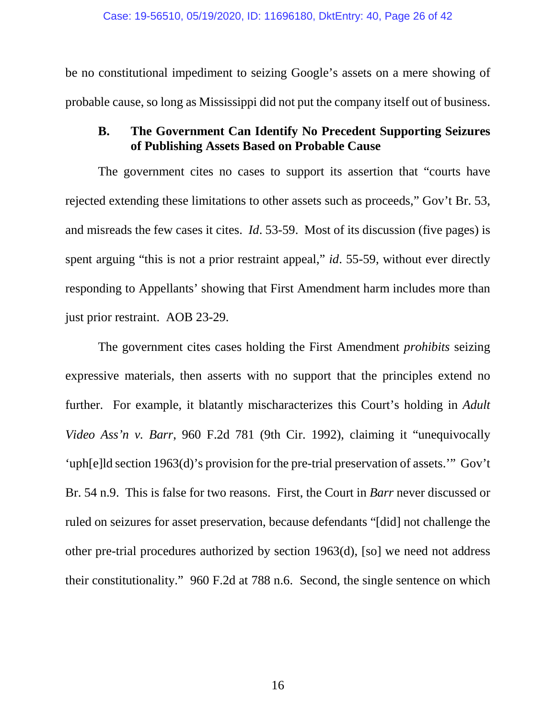be no constitutional impediment to seizing Google's assets on a mere showing of probable cause, so long as Mississippi did not put the company itself out of business.

## **B. The Government Can Identify No Precedent Supporting Seizures of Publishing Assets Based on Probable Cause**

The government cites no cases to support its assertion that "courts have rejected extending these limitations to other assets such as proceeds," Gov't Br. 53, and misreads the few cases it cites. *Id*. 53-59. Most of its discussion (five pages) is spent arguing "this is not a prior restraint appeal," *id*. 55-59, without ever directly responding to Appellants' showing that First Amendment harm includes more than just prior restraint. AOB 23-29.

The government cites cases holding the First Amendment *prohibits* seizing expressive materials, then asserts with no support that the principles extend no further. For example, it blatantly mischaracterizes this Court's holding in *Adult Video Ass'n v. Barr*, 960 F.2d 781 (9th Cir. 1992), claiming it "unequivocally 'uph[e]ld section 1963(d)'s provision for the pre-trial preservation of assets.'" Gov't Br. 54 n.9. This is false for two reasons. First, the Court in *Barr* never discussed or ruled on seizures for asset preservation, because defendants "[did] not challenge the other pre-trial procedures authorized by section 1963(d), [so] we need not address their constitutionality." 960 F.2d at 788 n.6. Second, the single sentence on which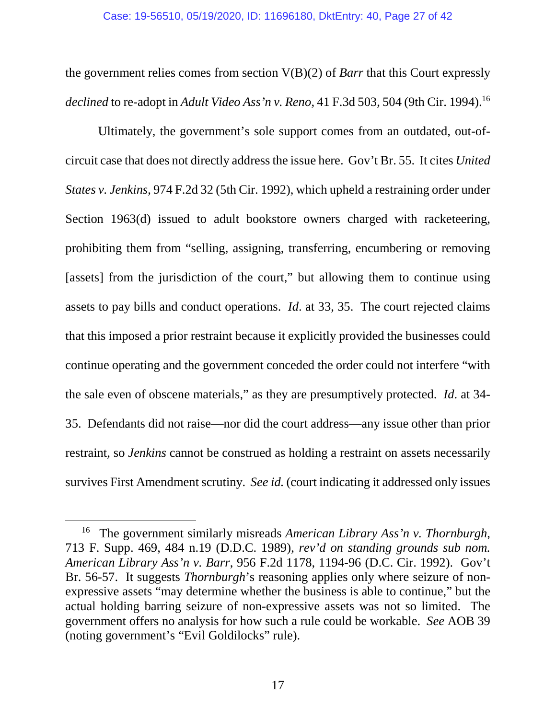the government relies comes from section V(B)(2) of *Barr* that this Court expressly *declined* to re-adopt in *Adult Video Ass'n v. Reno*, 41 F.3d 503, 504 (9th Cir. 1994).<sup>16</sup>

Ultimately, the government's sole support comes from an outdated, out-ofcircuit case that does not directly address the issue here. Gov't Br. 55. It cites *United States v. Jenkins*, 974 F.2d 32 (5th Cir. 1992), which upheld a restraining order under Section 1963(d) issued to adult bookstore owners charged with racketeering, prohibiting them from "selling, assigning, transferring, encumbering or removing [assets] from the jurisdiction of the court," but allowing them to continue using assets to pay bills and conduct operations. *Id*. at 33, 35. The court rejected claims that this imposed a prior restraint because it explicitly provided the businesses could continue operating and the government conceded the order could not interfere "with the sale even of obscene materials," as they are presumptively protected. *Id*. at 34- 35. Defendants did not raise—nor did the court address—any issue other than prior restraint, so *Jenkins* cannot be construed as holding a restraint on assets necessarily survives First Amendment scrutiny. *See id.* (court indicating it addressed only issues

<sup>16</sup> The government similarly misreads *American Library Ass'n v. Thornburgh*, 713 F. Supp. 469, 484 n.19 (D.D.C. 1989), *rev'd on standing grounds sub nom. American Library Ass'n v. Barr*, 956 F.2d 1178, 1194-96 (D.C. Cir. 1992). Gov't Br. 56-57. It suggests *Thornburgh*'s reasoning applies only where seizure of nonexpressive assets "may determine whether the business is able to continue," but the actual holding barring seizure of non-expressive assets was not so limited. The government offers no analysis for how such a rule could be workable. *See* AOB 39 (noting government's "Evil Goldilocks" rule).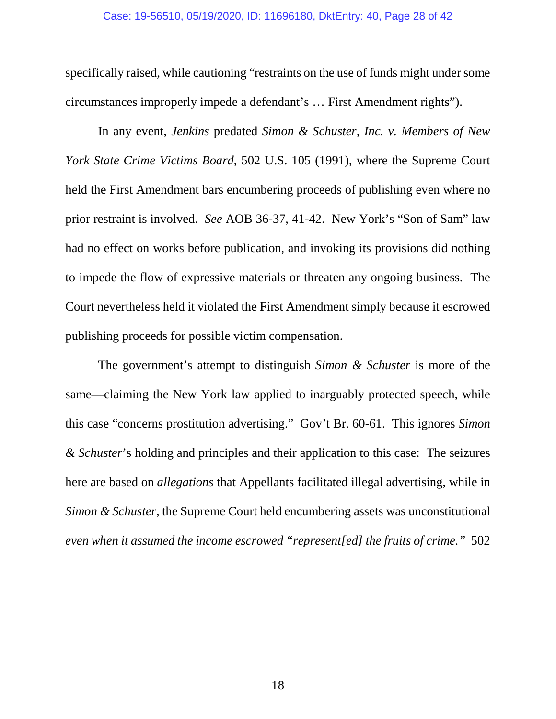#### Case: 19-56510, 05/19/2020, ID: 11696180, DktEntry: 40, Page 28 of 42

specifically raised, while cautioning "restraints on the use of funds might under some circumstances improperly impede a defendant's … First Amendment rights").

In any event, *Jenkins* predated *Simon & Schuster, Inc. v. Members of New York State Crime Victims Board*, 502 U.S. 105 (1991), where the Supreme Court held the First Amendment bars encumbering proceeds of publishing even where no prior restraint is involved. *See* AOB 36-37, 41-42. New York's "Son of Sam" law had no effect on works before publication, and invoking its provisions did nothing to impede the flow of expressive materials or threaten any ongoing business. The Court nevertheless held it violated the First Amendment simply because it escrowed publishing proceeds for possible victim compensation.

The government's attempt to distinguish *Simon & Schuster* is more of the same—claiming the New York law applied to inarguably protected speech, while this case "concerns prostitution advertising." Gov't Br. 60-61. This ignores *Simon & Schuster*'s holding and principles and their application to this case: The seizures here are based on *allegations* that Appellants facilitated illegal advertising, while in *Simon & Schuster*, the Supreme Court held encumbering assets was unconstitutional *even when it assumed the income escrowed "represent[ed] the fruits of crime."* 502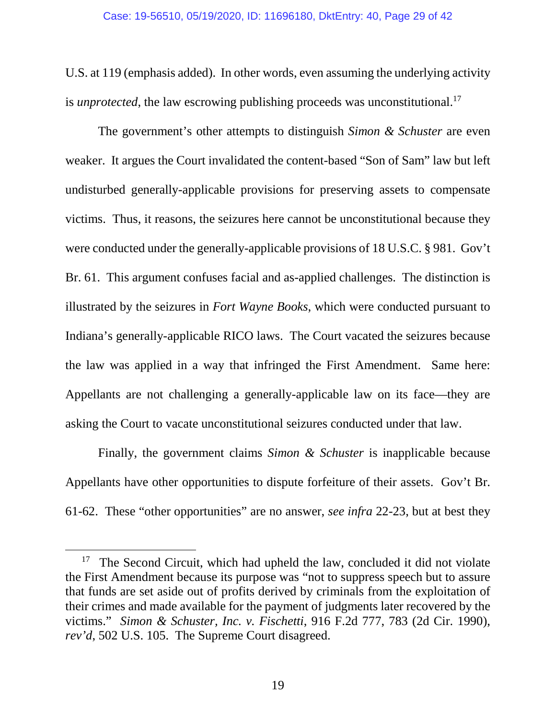U.S. at 119 (emphasis added). In other words, even assuming the underlying activity is *unprotected*, the law escrowing publishing proceeds was unconstitutional.<sup>17</sup>

The government's other attempts to distinguish *Simon & Schuster* are even weaker. It argues the Court invalidated the content-based "Son of Sam" law but left undisturbed generally-applicable provisions for preserving assets to compensate victims. Thus, it reasons, the seizures here cannot be unconstitutional because they were conducted under the generally-applicable provisions of 18 U.S.C. § 981. Gov't Br. 61. This argument confuses facial and as-applied challenges. The distinction is illustrated by the seizures in *Fort Wayne Books*, which were conducted pursuant to Indiana's generally-applicable RICO laws. The Court vacated the seizures because the law was applied in a way that infringed the First Amendment. Same here: Appellants are not challenging a generally-applicable law on its face—they are asking the Court to vacate unconstitutional seizures conducted under that law.

Finally, the government claims *Simon & Schuster* is inapplicable because Appellants have other opportunities to dispute forfeiture of their assets. Gov't Br. 61-62. These "other opportunities" are no answer, *see infra* 22-23, but at best they

<sup>&</sup>lt;sup>17</sup> The Second Circuit, which had upheld the law, concluded it did not violate the First Amendment because its purpose was "not to suppress speech but to assure that funds are set aside out of profits derived by criminals from the exploitation of their crimes and made available for the payment of judgments later recovered by the victims." *Simon & Schuster, Inc. v. Fischetti*, 916 F.2d 777, 783 (2d Cir. 1990), *rev'd*, 502 U.S. 105. The Supreme Court disagreed.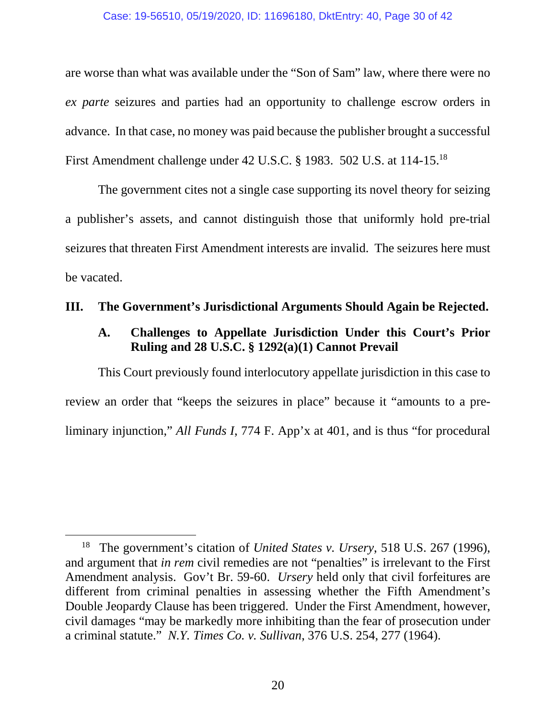### Case: 19-56510, 05/19/2020, ID: 11696180, DktEntry: 40, Page 30 of 42

are worse than what was available under the "Son of Sam" law, where there were no *ex parte* seizures and parties had an opportunity to challenge escrow orders in advance. In that case, no money was paid because the publisher brought a successful First Amendment challenge under 42 U.S.C. § 1983. 502 U.S. at 114-15.<sup>18</sup>

The government cites not a single case supporting its novel theory for seizing a publisher's assets, and cannot distinguish those that uniformly hold pre-trial seizures that threaten First Amendment interests are invalid. The seizures here must be vacated.

## **III. The Government's Jurisdictional Arguments Should Again be Rejected.**

# **A. Challenges to Appellate Jurisdiction Under this Court's Prior Ruling and 28 U.S.C. § 1292(a)(1) Cannot Prevail**

This Court previously found interlocutory appellate jurisdiction in this case to review an order that "keeps the seizures in place" because it "amounts to a preliminary injunction," *All Funds I*, 774 F. App'x at 401, and is thus "for procedural

<sup>18</sup> The government's citation of *United States v. Ursery*, 518 U.S. 267 (1996), and argument that *in rem* civil remedies are not "penalties" is irrelevant to the First Amendment analysis. Gov't Br. 59-60. *Ursery* held only that civil forfeitures are different from criminal penalties in assessing whether the Fifth Amendment's Double Jeopardy Clause has been triggered. Under the First Amendment, however, civil damages "may be markedly more inhibiting than the fear of prosecution under a criminal statute." *N.Y. Times Co. v. Sullivan*, 376 U.S. 254, 277 (1964).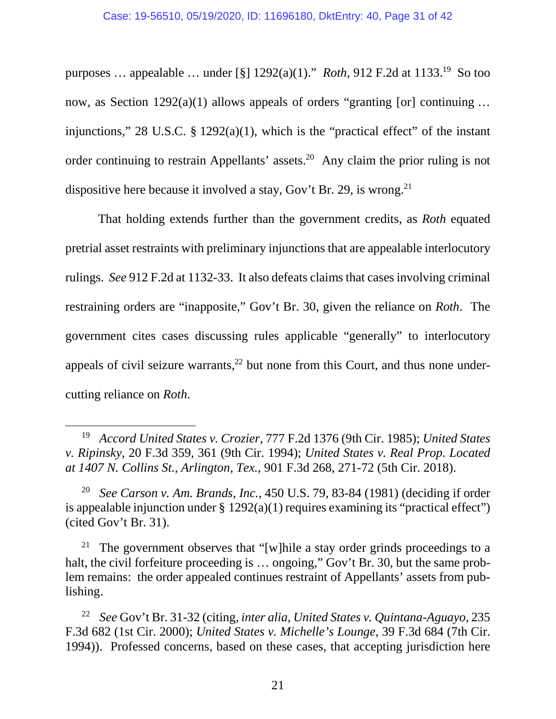purposes … appealable … under [§] 1292(a)(1)." *Roth*, 912 F.2d at 1133.<sup>19</sup> So too now, as Section 1292(a)(1) allows appeals of orders "granting [or] continuing ... injunctions," 28 U.S.C. § 1292(a)(1), which is the "practical effect" of the instant order continuing to restrain Appellants' assets.<sup>20</sup> Any claim the prior ruling is not dispositive here because it involved a stay, Gov't Br. 29, is wrong.<sup>21</sup>

That holding extends further than the government credits, as *Roth* equated pretrial asset restraints with preliminary injunctions that are appealable interlocutory rulings. *See* 912 F.2d at 1132-33. It also defeats claims that cases involving criminal restraining orders are "inapposite," Gov't Br. 30, given the reliance on *Roth*. The government cites cases discussing rules applicable "generally" to interlocutory appeals of civil seizure warrants, $^{22}$  but none from this Court, and thus none undercutting reliance on *Roth*.

<sup>19</sup> *Accord United States v. Crozier*, 777 F.2d 1376 (9th Cir. 1985); *United States v. Ripinsky*, 20 F.3d 359, 361 (9th Cir. 1994); *United States v. Real Prop. Located at 1407 N. Collins St., Arlington, Tex.*, 901 F.3d 268, 271-72 (5th Cir. 2018).

<sup>20</sup> *See Carson v. Am. Brands, Inc.*, 450 U.S. 79, 83-84 (1981) (deciding if order is appealable injunction under  $\S 1292(a)(1)$  requires examining its "practical effect") (cited Gov't Br. 31).

<sup>&</sup>lt;sup>21</sup> The government observes that "[w]hile a stay order grinds proceedings to a halt, the civil forfeiture proceeding is ... ongoing," Gov't Br. 30, but the same problem remains: the order appealed continues restraint of Appellants' assets from publishing.

<sup>22</sup> *See* Gov't Br. 31-32 (citing, *inter alia*, *United States v. Quintana-Aguayo*, 235 F.3d 682 (1st Cir. 2000); *United States v. Michelle's Lounge*, 39 F.3d 684 (7th Cir. 1994)). Professed concerns, based on these cases, that accepting jurisdiction here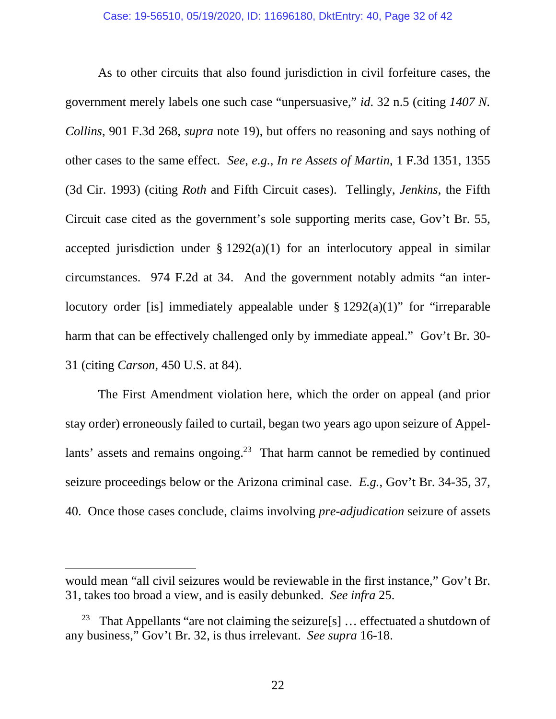As to other circuits that also found jurisdiction in civil forfeiture cases, the government merely labels one such case "unpersuasive," *id*. 32 n.5 (citing *1407 N. Collins*, 901 F.3d 268, *supra* note 19), but offers no reasoning and says nothing of other cases to the same effect. *See*, *e.g.*, *In re Assets of Martin*, 1 F.3d 1351, 1355 (3d Cir. 1993) (citing *Roth* and Fifth Circuit cases). Tellingly, *Jenkins*, the Fifth Circuit case cited as the government's sole supporting merits case, Gov't Br. 55, accepted jurisdiction under  $\S 1292(a)(1)$  for an interlocutory appeal in similar circumstances. 974 F.2d at 34. And the government notably admits "an interlocutory order [is] immediately appealable under  $\S 1292(a)(1)$ " for "irreparable harm that can be effectively challenged only by immediate appeal." Gov't Br. 30- 31 (citing *Carson*, 450 U.S. at 84).

The First Amendment violation here, which the order on appeal (and prior stay order) erroneously failed to curtail, began two years ago upon seizure of Appellants' assets and remains ongoing.<sup>23</sup> That harm cannot be remedied by continued seizure proceedings below or the Arizona criminal case. *E.g.*, Gov't Br. 34-35, 37, 40. Once those cases conclude, claims involving *pre-adjudication* seizure of assets

would mean "all civil seizures would be reviewable in the first instance," Gov't Br. 31, takes too broad a view, and is easily debunked. *See infra* 25.

<sup>&</sup>lt;sup>23</sup> That Appellants "are not claiming the seizure[s]  $\ldots$  effectuated a shutdown of any business," Gov't Br. 32, is thus irrelevant. *See supra* 16-18.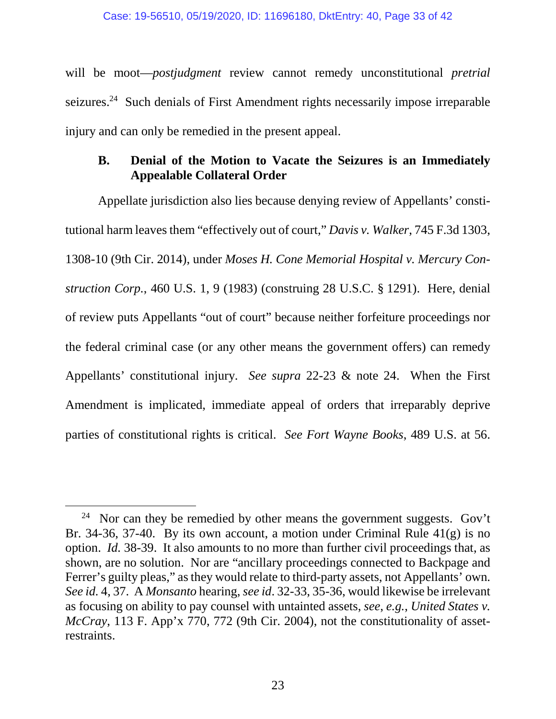will be moot—*postjudgment* review cannot remedy unconstitutional *pretrial* seizures.<sup>24</sup> Such denials of First Amendment rights necessarily impose irreparable injury and can only be remedied in the present appeal.

# **B. Denial of the Motion to Vacate the Seizures is an Immediately Appealable Collateral Order**

Appellate jurisdiction also lies because denying review of Appellants' constitutional harm leaves them "effectively out of court," *Davis v. Walker*, 745 F.3d 1303, 1308-10 (9th Cir. 2014), under *Moses H. Cone Memorial Hospital v. Mercury Construction Corp.*, 460 U.S. 1, 9 (1983) (construing 28 U.S.C. § 1291). Here, denial of review puts Appellants "out of court" because neither forfeiture proceedings nor the federal criminal case (or any other means the government offers) can remedy Appellants' constitutional injury. *See supra* 22-23 & note 24. When the First Amendment is implicated, immediate appeal of orders that irreparably deprive parties of constitutional rights is critical. *See Fort Wayne Books*, 489 U.S. at 56.

<sup>&</sup>lt;sup>24</sup> Nor can they be remedied by other means the government suggests. Gov't Br. 34-36, 37-40. By its own account, a motion under Criminal Rule 41(g) is no option. *Id.* 38-39. It also amounts to no more than further civil proceedings that, as shown, are no solution. Nor are "ancillary proceedings connected to Backpage and Ferrer's guilty pleas," as they would relate to third-party assets, not Appellants' own. *See id.* 4, 37. A *Monsanto* hearing, *see id*. 32-33, 35-36, would likewise be irrelevant as focusing on ability to pay counsel with untainted assets, *see*, *e.g.*, *United States v. McCray*, 113 F. App'x 770, 772 (9th Cir. 2004), not the constitutionality of assetrestraints.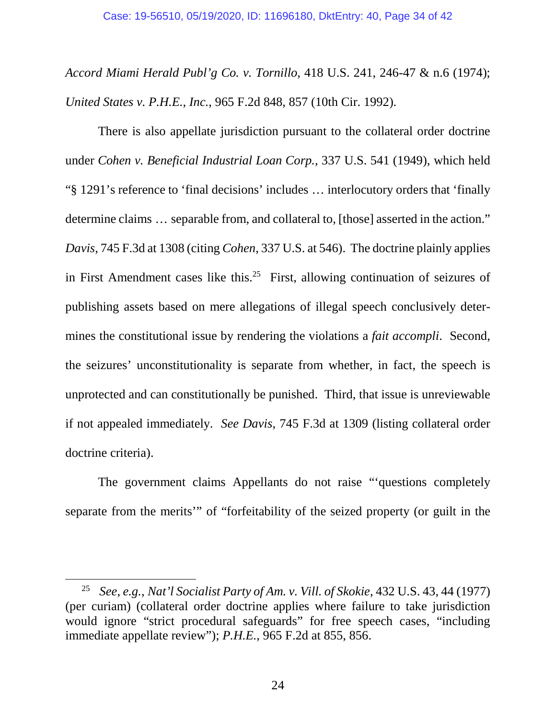*Accord Miami Herald Publ'g Co. v. Tornillo*, 418 U.S. 241, 246-47 & n.6 (1974); *United States v. P.H.E., Inc.*, 965 F.2d 848, 857 (10th Cir. 1992).

There is also appellate jurisdiction pursuant to the collateral order doctrine under *Cohen v. Beneficial Industrial Loan Corp.*, 337 U.S. 541 (1949), which held "§ 1291's reference to 'final decisions' includes … interlocutory orders that 'finally determine claims … separable from, and collateral to, [those] asserted in the action." *Davis*, 745 F.3d at 1308 (citing *Cohen*, 337 U.S. at 546). The doctrine plainly applies in First Amendment cases like this.<sup>25</sup> First, allowing continuation of seizures of publishing assets based on mere allegations of illegal speech conclusively determines the constitutional issue by rendering the violations a *fait accompli*. Second, the seizures' unconstitutionality is separate from whether, in fact, the speech is unprotected and can constitutionally be punished. Third, that issue is unreviewable if not appealed immediately. *See Davis*, 745 F.3d at 1309 (listing collateral order doctrine criteria).

The government claims Appellants do not raise "'questions completely separate from the merits'" of "forfeitability of the seized property (or guilt in the

<sup>25</sup> *See*, *e.g.*, *Nat'l Socialist Party of Am. v. Vill. of Skokie*, 432 U.S. 43, 44 (1977) (per curiam) (collateral order doctrine applies where failure to take jurisdiction would ignore "strict procedural safeguards" for free speech cases, "including immediate appellate review"); *P.H.E.*, 965 F.2d at 855, 856.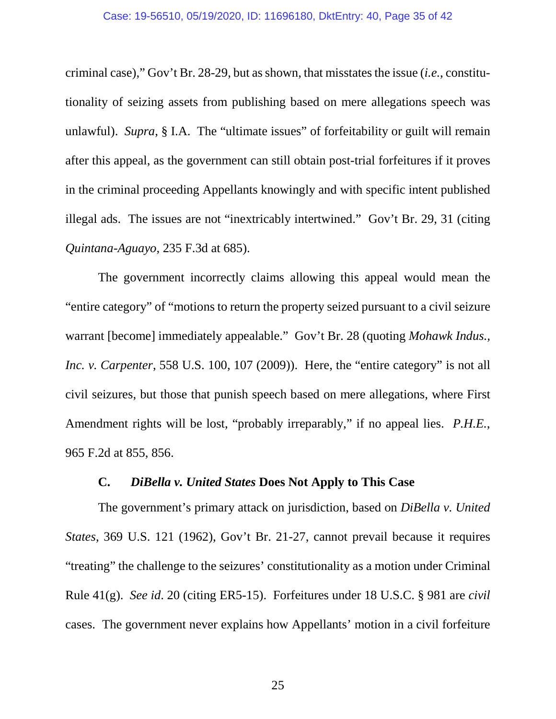criminal case)," Gov't Br. 28-29, but as shown, that misstates the issue (*i.e.*, constitutionality of seizing assets from publishing based on mere allegations speech was unlawful). *Supra*, § I.A. The "ultimate issues" of forfeitability or guilt will remain after this appeal, as the government can still obtain post-trial forfeitures if it proves in the criminal proceeding Appellants knowingly and with specific intent published illegal ads. The issues are not "inextricably intertwined." Gov't Br. 29, 31 (citing *Quintana-Aguayo*, 235 F.3d at 685).

The government incorrectly claims allowing this appeal would mean the "entire category" of "motions to return the property seized pursuant to a civil seizure warrant [become] immediately appealable." Gov't Br. 28 (quoting *Mohawk Indus., Inc. v. Carpenter*, 558 U.S. 100, 107 (2009)). Here, the "entire category" is not all civil seizures, but those that punish speech based on mere allegations, where First Amendment rights will be lost, "probably irreparably," if no appeal lies. *P.H.E.*, 965 F.2d at 855, 856.

### **C.** *DiBella v. United States* **Does Not Apply to This Case**

The government's primary attack on jurisdiction, based on *DiBella v. United States*, 369 U.S. 121 (1962), Gov't Br. 21-27, cannot prevail because it requires "treating" the challenge to the seizures' constitutionality as a motion under Criminal Rule 41(g). *See id*. 20 (citing ER5-15). Forfeitures under 18 U.S.C. § 981 are *civil* cases. The government never explains how Appellants' motion in a civil forfeiture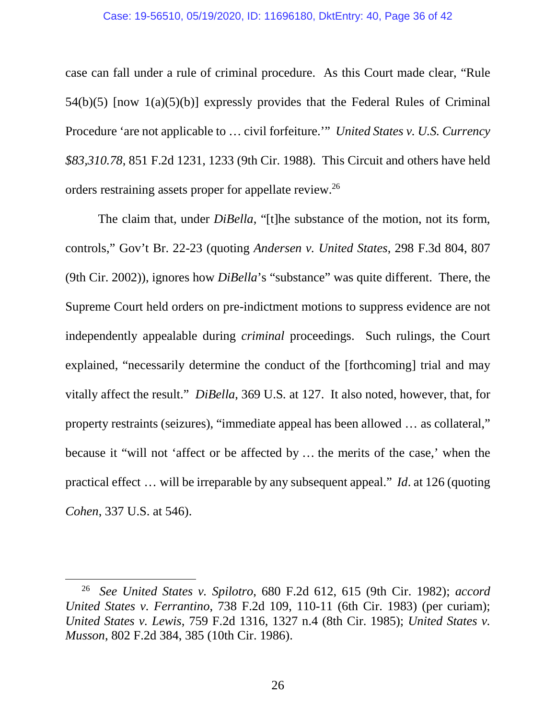#### Case: 19-56510, 05/19/2020, ID: 11696180, DktEntry: 40, Page 36 of 42

case can fall under a rule of criminal procedure. As this Court made clear, "Rule 54(b)(5) [now 1(a)(5)(b)] expressly provides that the Federal Rules of Criminal Procedure 'are not applicable to … civil forfeiture.'" *United States v. U.S. Currency \$83,310.78*, 851 F.2d 1231, 1233 (9th Cir. 1988). This Circuit and others have held orders restraining assets proper for appellate review.<sup>26</sup>

The claim that, under *DiBella*, "[t]he substance of the motion, not its form, controls," Gov't Br. 22-23 (quoting *Andersen v. United States*, 298 F.3d 804, 807 (9th Cir. 2002)), ignores how *DiBella*'s "substance" was quite different. There, the Supreme Court held orders on pre-indictment motions to suppress evidence are not independently appealable during *criminal* proceedings. Such rulings, the Court explained, "necessarily determine the conduct of the [forthcoming] trial and may vitally affect the result." *DiBella*, 369 U.S*.* at 127. It also noted, however, that, for property restraints (seizures), "immediate appeal has been allowed … as collateral," because it "will not 'affect or be affected by … the merits of the case,' when the practical effect … will be irreparable by any subsequent appeal." *Id*. at 126 (quoting *Cohen*, 337 U.S. at 546).

<sup>26</sup> *See United States v. Spilotro*, 680 F.2d 612, 615 (9th Cir. 1982); *accord United States v. Ferrantino*, 738 F.2d 109, 110-11 (6th Cir. 1983) (per curiam); *United States v. Lewis*, 759 F.2d 1316, 1327 n.4 (8th Cir. 1985); *United States v. Musson*, 802 F.2d 384, 385 (10th Cir. 1986).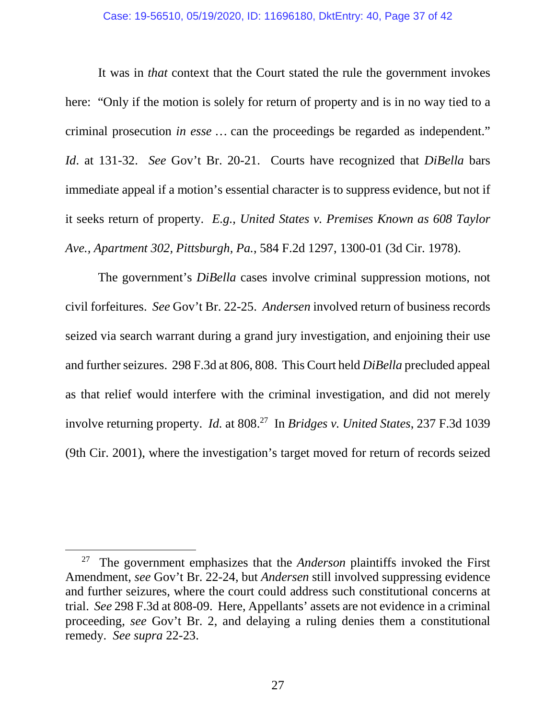## Case: 19-56510, 05/19/2020, ID: 11696180, DktEntry: 40, Page 37 of 42

It was in *that* context that the Court stated the rule the government invokes here: "Only if the motion is solely for return of property and is in no way tied to a criminal prosecution *in esse* … can the proceedings be regarded as independent." *Id*. at 131-32. *See* Gov't Br. 20-21. Courts have recognized that *DiBella* bars immediate appeal if a motion's essential character is to suppress evidence, but not if it seeks return of property. *E.g.*, *United States v. Premises Known as 608 Taylor Ave., Apartment 302, Pittsburgh, Pa.*, 584 F.2d 1297, 1300-01 (3d Cir. 1978).

The government's *DiBella* cases involve criminal suppression motions, not civil forfeitures. *See* Gov't Br. 22-25. *Andersen* involved return of business records seized via search warrant during a grand jury investigation, and enjoining their use and further seizures. 298 F.3d at 806, 808. This Court held *DiBella* precluded appeal as that relief would interfere with the criminal investigation, and did not merely involve returning property. *Id.* at 808.<sup>27</sup> In *Bridges v. United States*, 237 F.3d 1039 (9th Cir. 2001), where the investigation's target moved for return of records seized

<sup>27</sup> The government emphasizes that the *Anderson* plaintiffs invoked the First Amendment, *see* Gov't Br. 22-24, but *Andersen* still involved suppressing evidence and further seizures, where the court could address such constitutional concerns at trial. *See* 298 F.3d at 808-09. Here, Appellants' assets are not evidence in a criminal proceeding, *see* Gov't Br. 2, and delaying a ruling denies them a constitutional remedy. *See supra* 22-23.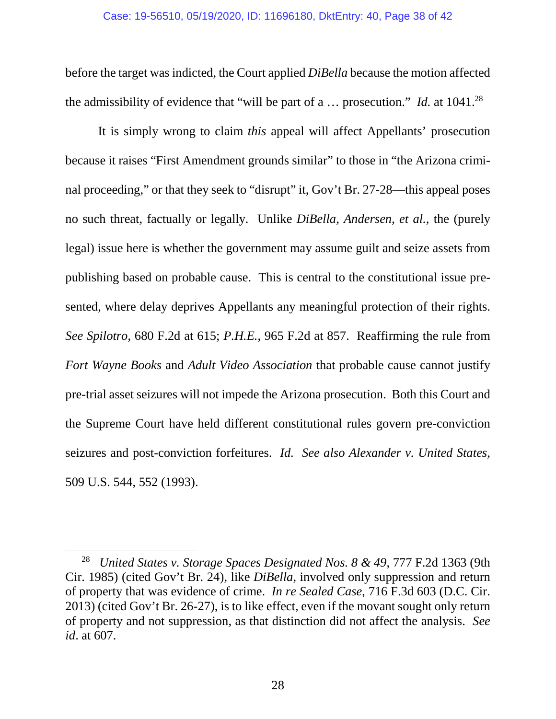before the target was indicted, the Court applied *DiBella* because the motion affected the admissibility of evidence that "will be part of a  $\ldots$  prosecution." *Id.* at 1041.<sup>28</sup>

It is simply wrong to claim *this* appeal will affect Appellants' prosecution because it raises "First Amendment grounds similar" to those in "the Arizona criminal proceeding," or that they seek to "disrupt" it, Gov't Br. 27-28—this appeal poses no such threat, factually or legally. Unlike *DiBella*, *Andersen*, *et al.*, the (purely legal) issue here is whether the government may assume guilt and seize assets from publishing based on probable cause. This is central to the constitutional issue presented, where delay deprives Appellants any meaningful protection of their rights. *See Spilotro*, 680 F.2d at 615; *P.H.E.*, 965 F.2d at 857. Reaffirming the rule from *Fort Wayne Books* and *Adult Video Association* that probable cause cannot justify pre-trial asset seizures will not impede the Arizona prosecution. Both this Court and the Supreme Court have held different constitutional rules govern pre-conviction seizures and post-conviction forfeitures. *Id. See also Alexander v. United States*, 509 U.S. 544, 552 (1993).

<sup>28</sup> *United States v. Storage Spaces Designated Nos. 8 & 49*, 777 F.2d 1363 (9th Cir. 1985) (cited Gov't Br. 24), like *DiBella*, involved only suppression and return of property that was evidence of crime. *In re Sealed Case*, 716 F.3d 603 (D.C. Cir. 2013) (cited Gov't Br. 26-27), is to like effect, even if the movant sought only return of property and not suppression, as that distinction did not affect the analysis. *See id*. at 607.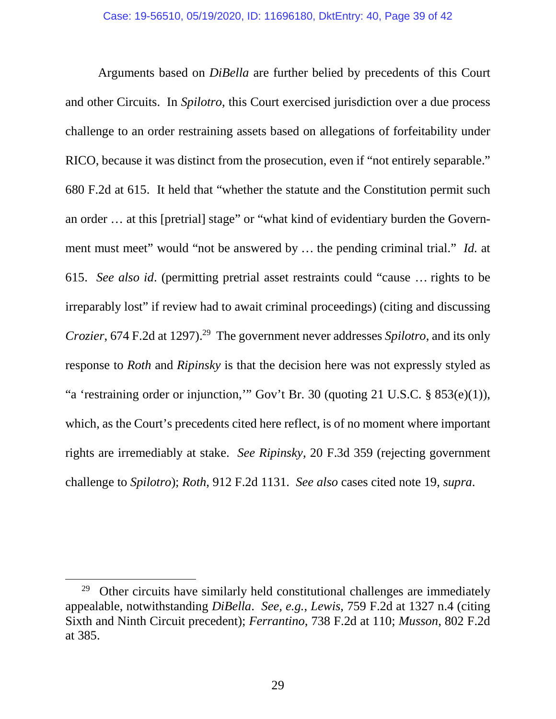Arguments based on *DiBella* are further belied by precedents of this Court and other Circuits. In *Spilotro*, this Court exercised jurisdiction over a due process challenge to an order restraining assets based on allegations of forfeitability under RICO, because it was distinct from the prosecution, even if "not entirely separable." 680 F.2d at 615. It held that "whether the statute and the Constitution permit such an order … at this [pretrial] stage" or "what kind of evidentiary burden the Government must meet" would "not be answered by … the pending criminal trial." *Id.* at 615. *See also id*. (permitting pretrial asset restraints could "cause … rights to be irreparably lost" if review had to await criminal proceedings) (citing and discussing *Crozier*, 674 F.2d at 1297).<sup>29</sup> The government never addresses *Spilotro*, and its only response to *Roth* and *Ripinsky* is that the decision here was not expressly styled as "a 'restraining order or injunction,'" Gov't Br. 30 (quoting 21 U.S.C. § 853(e)(1)), which, as the Court's precedents cited here reflect, is of no moment where important rights are irremediably at stake. *See Ripinsky*, 20 F.3d 359 (rejecting government challenge to *Spilotro*); *Roth*, 912 F.2d 1131. *See also* cases cited note 19, *supra*.

<sup>&</sup>lt;sup>29</sup> Other circuits have similarly held constitutional challenges are immediately appealable, notwithstanding *DiBella*. *See, e.g.*, *Lewis*, 759 F.2d at 1327 n.4 (citing Sixth and Ninth Circuit precedent); *Ferrantino*, 738 F.2d at 110; *Musson*, 802 F.2d at 385.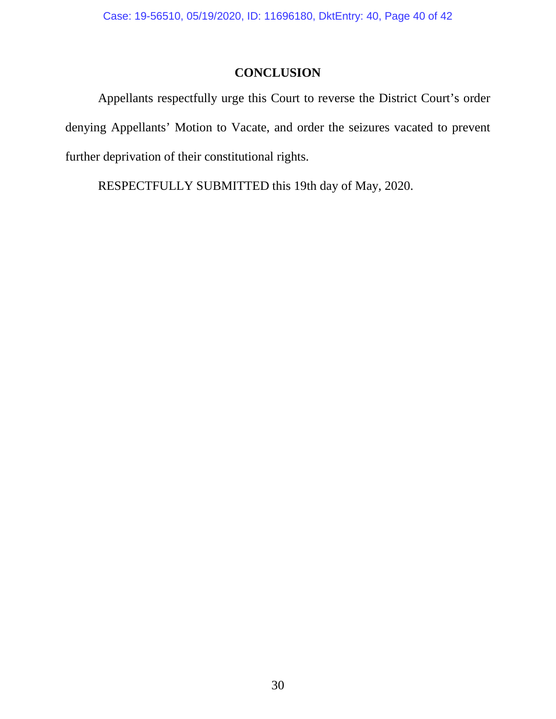# **CONCLUSION**

Appellants respectfully urge this Court to reverse the District Court's order denying Appellants' Motion to Vacate, and order the seizures vacated to prevent further deprivation of their constitutional rights.

RESPECTFULLY SUBMITTED this 19th day of May, 2020.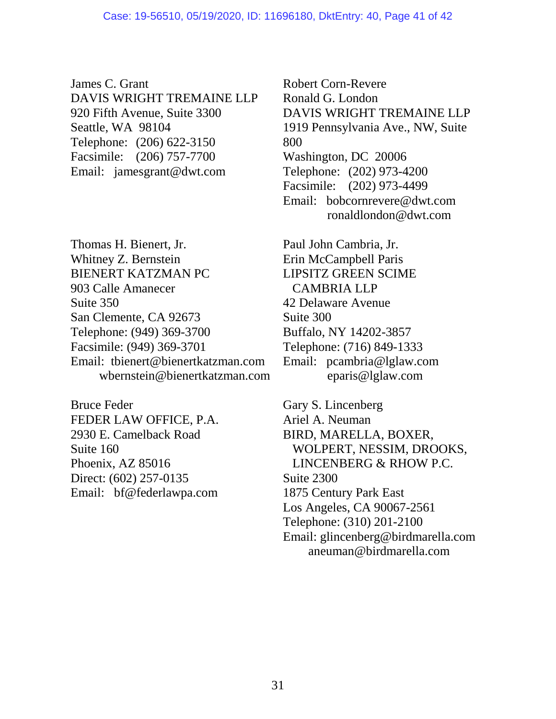James C. Grant DAVIS WRIGHT TREMAINE LLP 920 Fifth Avenue, Suite 3300 Seattle, WA 98104 Telephone: (206) 622-3150 Facsimile: (206) 757-7700 Email: jamesgrant@dwt.com

Thomas H. Bienert, Jr. Whitney Z. Bernstein BIENERT KATZMAN PC 903 Calle Amanecer Suite 350 San Clemente, CA 92673 Telephone: (949) 369-3700 Facsimile: (949) 369-3701 Email: tbienert@bienertkatzman.com wbernstein@bienertkatzman.com

Bruce Feder FEDER LAW OFFICE, P.A. 2930 E. Camelback Road Suite 160 Phoenix, AZ 85016 Direct: (602) 257-0135 Email: bf@federlawpa.com

Robert Corn-Revere Ronald G. London DAVIS WRIGHT TREMAINE LLP 1919 Pennsylvania Ave., NW, Suite 800 Washington, DC 20006 Telephone: (202) 973-4200 Facsimile: (202) 973-4499 Email: bobcornrevere@dwt.com ronaldlondon@dwt.com

Paul John Cambria, Jr. Erin McCampbell Paris LIPSITZ GREEN SCIME CAMBRIA LLP 42 Delaware Avenue Suite 300 Buffalo, NY 14202-3857 Telephone: (716) 849-1333 Email: pcambria@lglaw.com eparis@lglaw.com

Gary S. Lincenberg Ariel A. Neuman BIRD, MARELLA, BOXER, WOLPERT, NESSIM, DROOKS, LINCENBERG & RHOW P.C. Suite 2300 1875 Century Park East Los Angeles, CA 90067-2561 Telephone: (310) 201-2100 Email: glincenberg@birdmarella.com aneuman@birdmarella.com